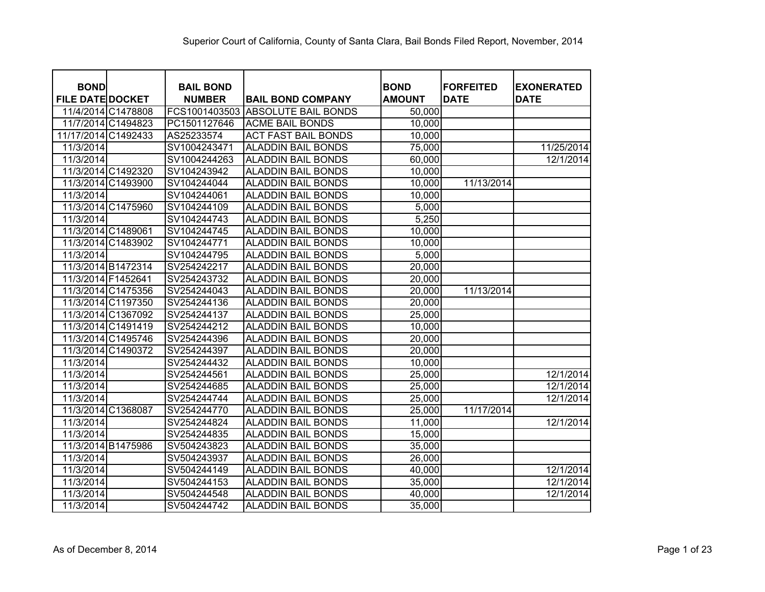| <b>BOND</b><br><b>FILE DATE DOCKET</b> |                    | <b>BAIL BOND</b><br><b>NUMBER</b> | <b>BAIL BOND COMPANY</b>   | <b>BOND</b><br><b>AMOUNT</b> | <b>FORFEITED</b><br><b>DATE</b> | <b>EXONERATED</b><br><b>DATE</b> |
|----------------------------------------|--------------------|-----------------------------------|----------------------------|------------------------------|---------------------------------|----------------------------------|
|                                        | 11/4/2014 C1478808 | FCS1001403503                     | <b>ABSOLUTE BAIL BONDS</b> | 50,000                       |                                 |                                  |
|                                        | 11/7/2014 C1494823 | PC1501127646                      | <b>ACME BAIL BONDS</b>     | 10,000                       |                                 |                                  |
| 11/17/2014 C1492433                    |                    | AS25233574                        | <b>ACT FAST BAIL BONDS</b> | 10,000                       |                                 |                                  |
| 11/3/2014                              |                    | SV1004243471                      | <b>ALADDIN BAIL BONDS</b>  | 75,000                       |                                 | 11/25/2014                       |
| 11/3/2014                              |                    | SV1004244263                      | <b>ALADDIN BAIL BONDS</b>  | 60,000                       |                                 | 12/1/2014                        |
|                                        | 11/3/2014 C1492320 | SV104243942                       | <b>ALADDIN BAIL BONDS</b>  | 10,000                       |                                 |                                  |
|                                        | 11/3/2014 C1493900 | SV104244044                       | <b>ALADDIN BAIL BONDS</b>  | 10,000                       | 11/13/2014                      |                                  |
| 11/3/2014                              |                    | SV104244061                       | <b>ALADDIN BAIL BONDS</b>  | 10,000                       |                                 |                                  |
| 11/3/2014 C1475960                     |                    | SV104244109                       | <b>ALADDIN BAIL BONDS</b>  | 5,000                        |                                 |                                  |
| 11/3/2014                              |                    | SV104244743                       | <b>ALADDIN BAIL BONDS</b>  | 5,250                        |                                 |                                  |
| 11/3/2014 C1489061                     |                    | SV104244745                       | <b>ALADDIN BAIL BONDS</b>  | 10,000                       |                                 |                                  |
| 11/3/2014 C1483902                     |                    | SV104244771                       | <b>ALADDIN BAIL BONDS</b>  | 10,000                       |                                 |                                  |
| 11/3/2014                              |                    | SV104244795                       | <b>ALADDIN BAIL BONDS</b>  | 5,000                        |                                 |                                  |
|                                        | 11/3/2014 B1472314 | SV254242217                       | <b>ALADDIN BAIL BONDS</b>  | 20,000                       |                                 |                                  |
| 11/3/2014 F1452641                     |                    | SV254243732                       | <b>ALADDIN BAIL BONDS</b>  | 20,000                       |                                 |                                  |
|                                        | 11/3/2014 C1475356 | SV254244043                       | <b>ALADDIN BAIL BONDS</b>  | 20,000                       | 11/13/2014                      |                                  |
|                                        | 11/3/2014 C1197350 | SV254244136                       | <b>ALADDIN BAIL BONDS</b>  | 20,000                       |                                 |                                  |
|                                        | 11/3/2014 C1367092 | SV254244137                       | <b>ALADDIN BAIL BONDS</b>  | 25,000                       |                                 |                                  |
|                                        | 11/3/2014 C1491419 | SV254244212                       | <b>ALADDIN BAIL BONDS</b>  | 10,000                       |                                 |                                  |
|                                        | 11/3/2014 C1495746 | SV254244396                       | <b>ALADDIN BAIL BONDS</b>  | 20,000                       |                                 |                                  |
|                                        | 11/3/2014 C1490372 | SV254244397                       | <b>ALADDIN BAIL BONDS</b>  | 20,000                       |                                 |                                  |
| 11/3/2014                              |                    | SV254244432                       | <b>ALADDIN BAIL BONDS</b>  | 10,000                       |                                 |                                  |
| 11/3/2014                              |                    | SV254244561                       | <b>ALADDIN BAIL BONDS</b>  | 25,000                       |                                 | 12/1/2014                        |
| 11/3/2014                              |                    | SV254244685                       | <b>ALADDIN BAIL BONDS</b>  | 25,000                       |                                 | 12/1/2014                        |
| 11/3/2014                              |                    | SV254244744                       | <b>ALADDIN BAIL BONDS</b>  | 25,000                       |                                 | 12/1/2014                        |
|                                        | 11/3/2014 C1368087 | SV254244770                       | <b>ALADDIN BAIL BONDS</b>  | 25,000                       | 11/17/2014                      |                                  |
| 11/3/2014                              |                    | SV254244824                       | <b>ALADDIN BAIL BONDS</b>  | 11,000                       |                                 | 12/1/2014                        |
| 11/3/2014                              |                    | SV254244835                       | <b>ALADDIN BAIL BONDS</b>  | 15,000                       |                                 |                                  |
|                                        | 11/3/2014 B1475986 | SV504243823                       | <b>ALADDIN BAIL BONDS</b>  | 35,000                       |                                 |                                  |
| 11/3/2014                              |                    | SV504243937                       | <b>ALADDIN BAIL BONDS</b>  | 26,000                       |                                 |                                  |
| 11/3/2014                              |                    | SV504244149                       | <b>ALADDIN BAIL BONDS</b>  | 40,000                       |                                 | 12/1/2014                        |
| 11/3/2014                              |                    | SV504244153                       | <b>ALADDIN BAIL BONDS</b>  | 35,000                       |                                 | 12/1/2014                        |
| 11/3/2014                              |                    | SV504244548                       | <b>ALADDIN BAIL BONDS</b>  | 40,000                       |                                 | 12/1/2014                        |
| 11/3/2014                              |                    | SV504244742                       | <b>ALADDIN BAIL BONDS</b>  | 35,000                       |                                 |                                  |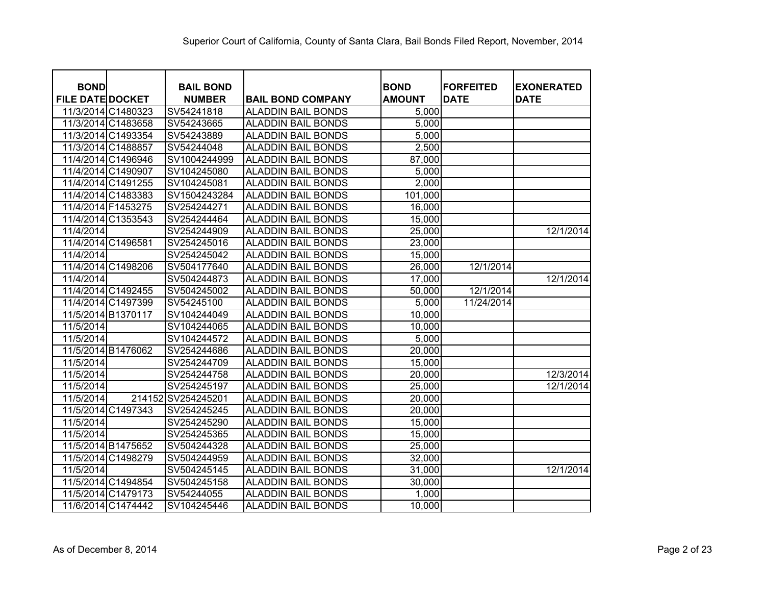| <b>BOND</b>             |                    | <b>BAIL BOND</b>   |                           | <b>BOND</b>   | <b>IFORFEITED</b> | <b>EXONERATED</b> |
|-------------------------|--------------------|--------------------|---------------------------|---------------|-------------------|-------------------|
| <b>FILE DATE DOCKET</b> |                    | <b>NUMBER</b>      | <b>BAIL BOND COMPANY</b>  | <b>AMOUNT</b> | <b>DATE</b>       | <b>DATE</b>       |
|                         | 11/3/2014 C1480323 | SV54241818         | <b>ALADDIN BAIL BONDS</b> | 5,000         |                   |                   |
|                         | 11/3/2014 C1483658 | SV54243665         | <b>ALADDIN BAIL BONDS</b> | 5,000         |                   |                   |
|                         | 11/3/2014 C1493354 | SV54243889         | <b>ALADDIN BAIL BONDS</b> | 5,000         |                   |                   |
|                         | 11/3/2014 C1488857 | SV54244048         | <b>ALADDIN BAIL BONDS</b> | 2,500         |                   |                   |
|                         | 11/4/2014 C1496946 | SV1004244999       | <b>ALADDIN BAIL BONDS</b> | 87,000        |                   |                   |
|                         | 11/4/2014 C1490907 | SV104245080        | <b>ALADDIN BAIL BONDS</b> | 5,000         |                   |                   |
|                         | 11/4/2014 C1491255 | SV104245081        | <b>ALADDIN BAIL BONDS</b> | 2,000         |                   |                   |
|                         | 11/4/2014 C1483383 | SV1504243284       | <b>ALADDIN BAIL BONDS</b> | 101,000       |                   |                   |
|                         | 11/4/2014 F1453275 | SV254244271        | <b>ALADDIN BAIL BONDS</b> | 16,000        |                   |                   |
|                         | 11/4/2014 C1353543 | SV254244464        | <b>ALADDIN BAIL BONDS</b> | 15,000        |                   |                   |
| 11/4/2014               |                    | SV254244909        | <b>ALADDIN BAIL BONDS</b> | 25,000        |                   | 12/1/2014         |
|                         | 11/4/2014 C1496581 | SV254245016        | <b>ALADDIN BAIL BONDS</b> | 23,000        |                   |                   |
| 11/4/2014               |                    | SV254245042        | <b>ALADDIN BAIL BONDS</b> | 15,000        |                   |                   |
|                         | 11/4/2014 C1498206 | SV504177640        | <b>ALADDIN BAIL BONDS</b> | 26,000        | 12/1/2014         |                   |
| 11/4/2014               |                    | SV504244873        | <b>ALADDIN BAIL BONDS</b> | 17,000        |                   | 12/1/2014         |
|                         | 11/4/2014 C1492455 | SV504245002        | <b>ALADDIN BAIL BONDS</b> | 50,000        | 12/1/2014         |                   |
|                         | 11/4/2014 C1497399 | SV54245100         | <b>ALADDIN BAIL BONDS</b> | 5,000         | 11/24/2014        |                   |
|                         | 11/5/2014 B1370117 | SV104244049        | <b>ALADDIN BAIL BONDS</b> | 10,000        |                   |                   |
| 11/5/2014               |                    | SV104244065        | <b>ALADDIN BAIL BONDS</b> | 10,000        |                   |                   |
| 11/5/2014               |                    | SV104244572        | <b>ALADDIN BAIL BONDS</b> | 5,000         |                   |                   |
|                         | 11/5/2014 B1476062 | SV254244686        | <b>ALADDIN BAIL BONDS</b> | 20,000        |                   |                   |
| 11/5/2014               |                    | SV254244709        | <b>ALADDIN BAIL BONDS</b> | 15,000        |                   |                   |
| 11/5/2014               |                    | SV254244758        | <b>ALADDIN BAIL BONDS</b> | 20,000        |                   | 12/3/2014         |
| 11/5/2014               |                    | SV254245197        | <b>ALADDIN BAIL BONDS</b> | 25,000        |                   | 12/1/2014         |
| 11/5/2014               |                    | 214152 SV254245201 | <b>ALADDIN BAIL BONDS</b> | 20,000        |                   |                   |
|                         | 11/5/2014 C1497343 | SV254245245        | <b>ALADDIN BAIL BONDS</b> | 20,000        |                   |                   |
| 11/5/2014               |                    | SV254245290        | <b>ALADDIN BAIL BONDS</b> | 15,000        |                   |                   |
| 11/5/2014               |                    | SV254245365        | <b>ALADDIN BAIL BONDS</b> | 15,000        |                   |                   |
|                         | 11/5/2014 B1475652 | SV504244328        | <b>ALADDIN BAIL BONDS</b> | 25,000        |                   |                   |
|                         | 11/5/2014 C1498279 | SV504244959        | <b>ALADDIN BAIL BONDS</b> | 32,000        |                   |                   |
| 11/5/2014               |                    | SV504245145        | <b>ALADDIN BAIL BONDS</b> | 31,000        |                   | 12/1/2014         |
|                         | 11/5/2014 C1494854 | SV504245158        | <b>ALADDIN BAIL BONDS</b> | 30,000        |                   |                   |
|                         | 11/5/2014 C1479173 | SV54244055         | <b>ALADDIN BAIL BONDS</b> | 1,000         |                   |                   |
|                         | 11/6/2014 C1474442 | SV104245446        | <b>ALADDIN BAIL BONDS</b> | 10,000        |                   |                   |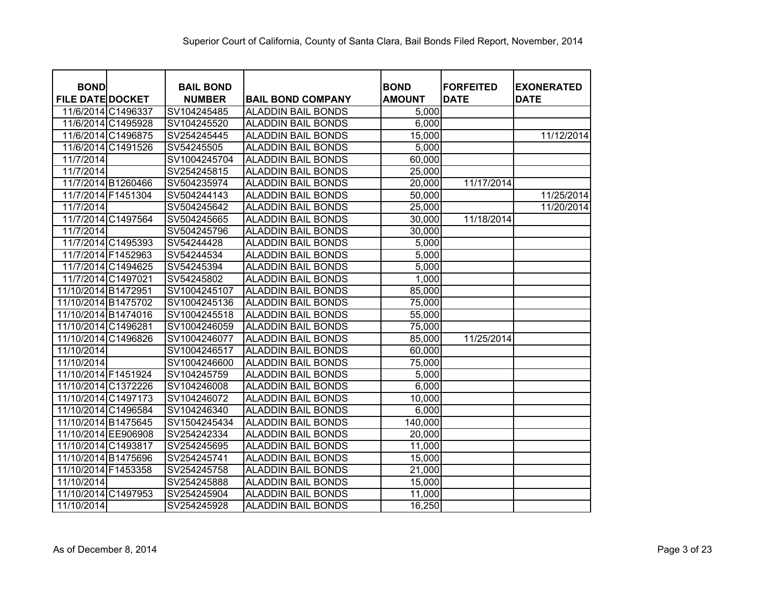| <b>BOND</b>             |                    | <b>BAIL BOND</b> |                           | <b>BOND</b>   | <b>FORFEITED</b> | <b>EXONERATED</b> |
|-------------------------|--------------------|------------------|---------------------------|---------------|------------------|-------------------|
| <b>FILE DATE DOCKET</b> |                    | <b>NUMBER</b>    | <b>BAIL BOND COMPANY</b>  | <b>AMOUNT</b> | <b>DATE</b>      | <b>DATE</b>       |
|                         | 11/6/2014 C1496337 | SV104245485      | <b>ALADDIN BAIL BONDS</b> | 5,000         |                  |                   |
|                         | 11/6/2014 C1495928 | SV104245520      | ALADDIN BAIL BONDS        | 6,000         |                  |                   |
|                         | 11/6/2014 C1496875 | SV254245445      | ALADDIN BAIL BONDS        | 15,000        |                  | 11/12/2014        |
|                         | 11/6/2014 C1491526 | SV54245505       | <b>ALADDIN BAIL BONDS</b> | 5,000         |                  |                   |
| 11/7/2014               |                    | SV1004245704     | <b>ALADDIN BAIL BONDS</b> | 60,000        |                  |                   |
| 11/7/2014               |                    | SV254245815      | <b>ALADDIN BAIL BONDS</b> | 25,000        |                  |                   |
|                         | 11/7/2014 B1260466 | SV504235974      | <b>ALADDIN BAIL BONDS</b> | 20,000        | 11/17/2014       |                   |
|                         | 11/7/2014 F1451304 | SV504244143      | <b>ALADDIN BAIL BONDS</b> | 50,000        |                  | 11/25/2014        |
| 11/7/2014               |                    | SV504245642      | <b>ALADDIN BAIL BONDS</b> | 25,000        |                  | 11/20/2014        |
|                         | 11/7/2014 C1497564 | SV504245665      | <b>ALADDIN BAIL BONDS</b> | 30,000        | 11/18/2014       |                   |
| 11/7/2014               |                    | SV504245796      | <b>ALADDIN BAIL BONDS</b> | 30,000        |                  |                   |
|                         | 11/7/2014 C1495393 | SV54244428       | <b>ALADDIN BAIL BONDS</b> | 5,000         |                  |                   |
|                         | 11/7/2014 F1452963 | SV54244534       | <b>ALADDIN BAIL BONDS</b> | 5,000         |                  |                   |
|                         | 11/7/2014 C1494625 | SV54245394       | <b>ALADDIN BAIL BONDS</b> | 5,000         |                  |                   |
| 11/7/2014 C1497021      |                    | SV54245802       | <b>ALADDIN BAIL BONDS</b> | 1,000         |                  |                   |
| 11/10/2014 B1472951     |                    | SV1004245107     | <b>ALADDIN BAIL BONDS</b> | 85,000        |                  |                   |
| 11/10/2014 B1475702     |                    | SV1004245136     | <b>ALADDIN BAIL BONDS</b> | 75,000        |                  |                   |
| 11/10/2014 B1474016     |                    | SV1004245518     | <b>ALADDIN BAIL BONDS</b> | 55,000        |                  |                   |
| 11/10/2014 C1496281     |                    | SV1004246059     | <b>ALADDIN BAIL BONDS</b> | 75,000        |                  |                   |
| 11/10/2014 C1496826     |                    | SV1004246077     | <b>ALADDIN BAIL BONDS</b> | 85,000        | 11/25/2014       |                   |
| 11/10/2014              |                    | SV1004246517     | <b>ALADDIN BAIL BONDS</b> | 60,000        |                  |                   |
| 11/10/2014              |                    | SV1004246600     | <b>ALADDIN BAIL BONDS</b> | 75,000        |                  |                   |
| 11/10/2014 F1451924     |                    | SV104245759      | <b>ALADDIN BAIL BONDS</b> | 5,000         |                  |                   |
| 11/10/2014 C1372226     |                    | SV104246008      | ALADDIN BAIL BONDS        | 6,000         |                  |                   |
| 11/10/2014 C1497173     |                    | SV104246072      | <b>ALADDIN BAIL BONDS</b> | 10,000        |                  |                   |
| 11/10/2014 C1496584     |                    | SV104246340      | ALADDIN BAIL BONDS        | 6,000         |                  |                   |
| 11/10/2014 B1475645     |                    | SV1504245434     | <b>ALADDIN BAIL BONDS</b> | 140,000       |                  |                   |
| 11/10/2014 EE906908     |                    | SV254242334      | ALADDIN BAIL BONDS        | 20,000        |                  |                   |
| 11/10/2014 C1493817     |                    | SV254245695      | <b>ALADDIN BAIL BONDS</b> | 11,000        |                  |                   |
| 11/10/2014 B1475696     |                    | SV254245741      | <b>ALADDIN BAIL BONDS</b> | 15,000        |                  |                   |
| 11/10/2014 F1453358     |                    | SV254245758      | <b>ALADDIN BAIL BONDS</b> | 21,000        |                  |                   |
| 11/10/2014              |                    | SV254245888      | <b>ALADDIN BAIL BONDS</b> | 15,000        |                  |                   |
| 11/10/2014 C1497953     |                    | SV254245904      | <b>ALADDIN BAIL BONDS</b> | 11,000        |                  |                   |
| 11/10/2014              |                    | SV254245928      | <b>ALADDIN BAIL BONDS</b> | 16,250        |                  |                   |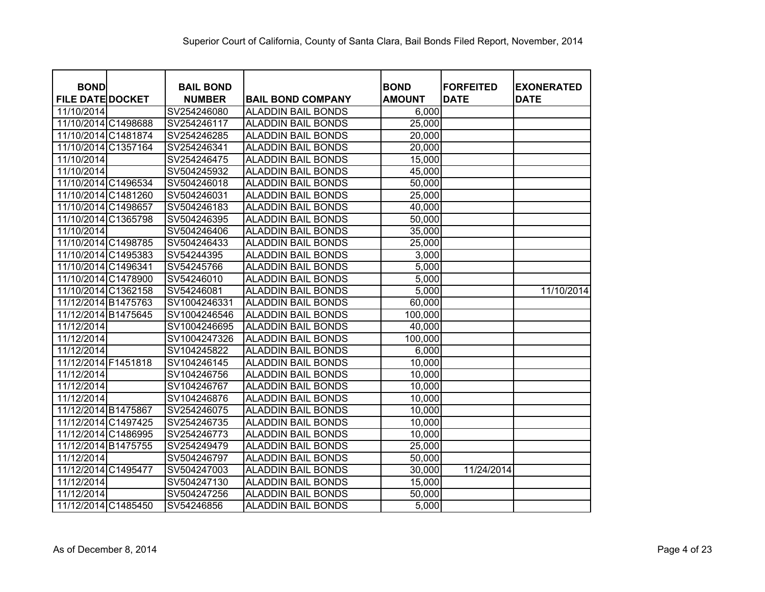| <b>BOND</b>             | <b>BAIL BOND</b> |                           | <b>BOND</b>   | <b>FORFEITED</b> | <b>EXONERATED</b> |
|-------------------------|------------------|---------------------------|---------------|------------------|-------------------|
| <b>FILE DATE DOCKET</b> | <b>NUMBER</b>    | <b>BAIL BOND COMPANY</b>  | <b>AMOUNT</b> | <b>DATE</b>      | <b>DATE</b>       |
| 11/10/2014              | SV254246080      | <b>ALADDIN BAIL BONDS</b> | 6,000         |                  |                   |
| 11/10/2014 C1498688     | SV254246117      | <b>ALADDIN BAIL BONDS</b> | 25,000        |                  |                   |
| 11/10/2014 C1481874     | SV254246285      | <b>ALADDIN BAIL BONDS</b> | 20,000        |                  |                   |
| 11/10/2014 C1357164     | SV254246341      | <b>ALADDIN BAIL BONDS</b> | 20,000        |                  |                   |
| 11/10/2014              | SV254246475      | <b>ALADDIN BAIL BONDS</b> | 15,000        |                  |                   |
| 11/10/2014              | SV504245932      | <b>ALADDIN BAIL BONDS</b> | 45,000        |                  |                   |
| 11/10/2014 C1496534     | SV504246018      | <b>ALADDIN BAIL BONDS</b> | 50,000        |                  |                   |
| 11/10/2014 C1481260     | SV504246031      | <b>ALADDIN BAIL BONDS</b> | 25,000        |                  |                   |
| 11/10/2014 C1498657     | SV504246183      | <b>ALADDIN BAIL BONDS</b> | 40,000        |                  |                   |
| 11/10/2014 C1365798     | SV504246395      | <b>ALADDIN BAIL BONDS</b> | 50,000        |                  |                   |
| 11/10/2014              | SV504246406      | <b>ALADDIN BAIL BONDS</b> | 35,000        |                  |                   |
| 11/10/2014 C1498785     | SV504246433      | <b>ALADDIN BAIL BONDS</b> | 25,000        |                  |                   |
| 11/10/2014 C1495383     | SV54244395       | <b>ALADDIN BAIL BONDS</b> | 3,000         |                  |                   |
| 11/10/2014 C1496341     | SV54245766       | <b>ALADDIN BAIL BONDS</b> | 5,000         |                  |                   |
| 11/10/2014 C1478900     | SV54246010       | <b>ALADDIN BAIL BONDS</b> | 5,000         |                  |                   |
| 11/10/2014 C1362158     | SV54246081       | <b>ALADDIN BAIL BONDS</b> | 5,000         |                  | 11/10/2014        |
| 11/12/2014 B1475763     | SV1004246331     | <b>ALADDIN BAIL BONDS</b> | 60,000        |                  |                   |
| 11/12/2014 B1475645     | SV1004246546     | <b>ALADDIN BAIL BONDS</b> | 100,000       |                  |                   |
| 11/12/2014              | SV1004246695     | <b>ALADDIN BAIL BONDS</b> | 40,000        |                  |                   |
| 11/12/2014              | SV1004247326     | <b>ALADDIN BAIL BONDS</b> | 100,000       |                  |                   |
| 11/12/2014              | SV104245822      | <b>ALADDIN BAIL BONDS</b> | 6,000         |                  |                   |
| 11/12/2014 F1451818     | SV104246145      | <b>ALADDIN BAIL BONDS</b> | 10,000        |                  |                   |
| 11/12/2014              | SV104246756      | <b>ALADDIN BAIL BONDS</b> | 10,000        |                  |                   |
| 11/12/2014              | SV104246767      | <b>ALADDIN BAIL BONDS</b> | 10,000        |                  |                   |
| 11/12/2014              | SV104246876      | <b>ALADDIN BAIL BONDS</b> | 10,000        |                  |                   |
| 11/12/2014 B1475867     | SV254246075      | <b>ALADDIN BAIL BONDS</b> | 10,000        |                  |                   |
| 11/12/2014 C1497425     | SV254246735      | <b>ALADDIN BAIL BONDS</b> | 10,000        |                  |                   |
| 11/12/2014 C1486995     | SV254246773      | <b>ALADDIN BAIL BONDS</b> | 10,000        |                  |                   |
| 11/12/2014 B1475755     | SV254249479      | <b>ALADDIN BAIL BONDS</b> | 25,000        |                  |                   |
| 11/12/2014              | SV504246797      | <b>ALADDIN BAIL BONDS</b> | 50,000        |                  |                   |
| 11/12/2014 C1495477     | SV504247003      | <b>ALADDIN BAIL BONDS</b> | 30,000        | 11/24/2014       |                   |
| 11/12/2014              | SV504247130      | <b>ALADDIN BAIL BONDS</b> | 15,000        |                  |                   |
| 11/12/2014              | SV504247256      | <b>ALADDIN BAIL BONDS</b> | 50,000        |                  |                   |
| 11/12/2014 C1485450     | SV54246856       | <b>ALADDIN BAIL BONDS</b> | 5,000         |                  |                   |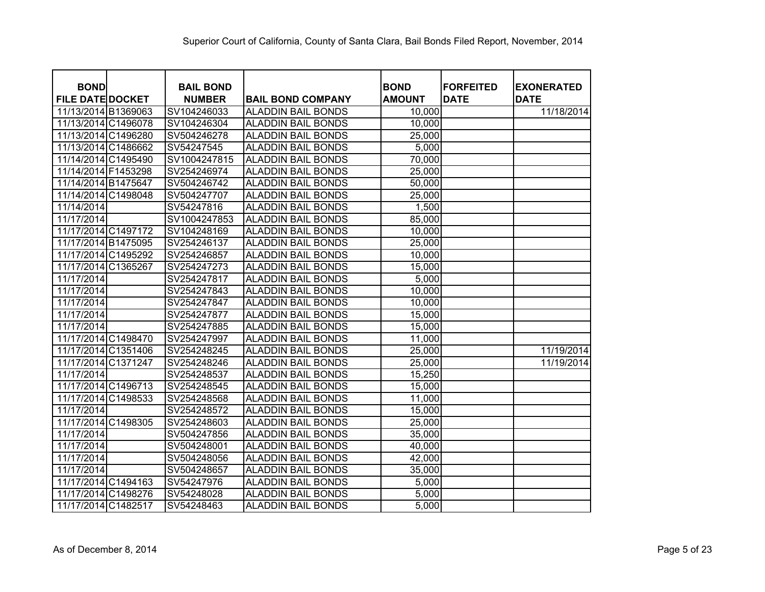| <b>BOND</b>             | <b>BAIL BOND</b> |                           | <b>BOND</b>   | <b>FORFEITED</b> | <b>EXONERATED</b> |
|-------------------------|------------------|---------------------------|---------------|------------------|-------------------|
| <b>FILE DATE DOCKET</b> | <b>NUMBER</b>    | <b>BAIL BOND COMPANY</b>  | <b>AMOUNT</b> | <b>DATE</b>      | <b>DATE</b>       |
| 11/13/2014 B1369063     | SV104246033      | <b>ALADDIN BAIL BONDS</b> | 10,000        |                  | 11/18/2014        |
| 11/13/2014 C1496078     | SV104246304      | <b>ALADDIN BAIL BONDS</b> | 10,000        |                  |                   |
| 11/13/2014 C1496280     | SV504246278      | <b>ALADDIN BAIL BONDS</b> | 25,000        |                  |                   |
| 11/13/2014 C1486662     | SV54247545       | <b>ALADDIN BAIL BONDS</b> | 5,000         |                  |                   |
| 11/14/2014 C1495490     | SV1004247815     | <b>ALADDIN BAIL BONDS</b> | 70,000        |                  |                   |
| 11/14/2014 F1453298     | SV254246974      | <b>ALADDIN BAIL BONDS</b> | 25,000        |                  |                   |
| 11/14/2014 B1475647     | SV504246742      | <b>ALADDIN BAIL BONDS</b> | 50,000        |                  |                   |
| 11/14/2014 C1498048     | SV504247707      | <b>ALADDIN BAIL BONDS</b> | 25,000        |                  |                   |
| 11/14/2014              | SV54247816       | <b>ALADDIN BAIL BONDS</b> | 1,500         |                  |                   |
| 11/17/2014              | SV1004247853     | <b>ALADDIN BAIL BONDS</b> | 85,000        |                  |                   |
| 11/17/2014 C1497172     | SV104248169      | <b>ALADDIN BAIL BONDS</b> | 10,000        |                  |                   |
| 11/17/2014 B1475095     | SV254246137      | <b>ALADDIN BAIL BONDS</b> | 25,000        |                  |                   |
| 11/17/2014 C1495292     | SV254246857      | <b>ALADDIN BAIL BONDS</b> | 10,000        |                  |                   |
| 11/17/2014 C1365267     | SV254247273      | <b>ALADDIN BAIL BONDS</b> | 15,000        |                  |                   |
| 11/17/2014              | SV254247817      | ALADDIN BAIL BONDS        | 5,000         |                  |                   |
| 11/17/2014              | SV254247843      | <b>ALADDIN BAIL BONDS</b> | 10,000        |                  |                   |
| 11/17/2014              | SV254247847      | <b>ALADDIN BAIL BONDS</b> | 10,000        |                  |                   |
| 11/17/2014              | SV254247877      | <b>ALADDIN BAIL BONDS</b> | 15,000        |                  |                   |
| 11/17/2014              | SV254247885      | <b>ALADDIN BAIL BONDS</b> | 15,000        |                  |                   |
| 11/17/2014 C1498470     | SV254247997      | <b>ALADDIN BAIL BONDS</b> | 11,000        |                  |                   |
| 11/17/2014 C1351406     | SV254248245      | <b>ALADDIN BAIL BONDS</b> | 25,000        |                  | 11/19/2014        |
| 11/17/2014 C1371247     | SV254248246      | <b>ALADDIN BAIL BONDS</b> | 25,000        |                  | 11/19/2014        |
| 11/17/2014              | SV254248537      | <b>ALADDIN BAIL BONDS</b> | 15,250        |                  |                   |
| 11/17/2014 C1496713     | SV254248545      | <b>ALADDIN BAIL BONDS</b> | 15,000        |                  |                   |
| 11/17/2014 C1498533     | SV254248568      | <b>ALADDIN BAIL BONDS</b> | 11,000        |                  |                   |
| 11/17/2014              | SV254248572      | <b>ALADDIN BAIL BONDS</b> | 15,000        |                  |                   |
| 11/17/2014 C1498305     | SV254248603      | <b>ALADDIN BAIL BONDS</b> | 25,000        |                  |                   |
| 11/17/2014              | SV504247856      | <b>ALADDIN BAIL BONDS</b> | 35,000        |                  |                   |
| 11/17/2014              | SV504248001      | <b>ALADDIN BAIL BONDS</b> | 40,000        |                  |                   |
| 11/17/2014              | SV504248056      | <b>ALADDIN BAIL BONDS</b> | 42,000        |                  |                   |
| 11/17/2014              | SV504248657      | ALADDIN BAIL BONDS        | 35,000        |                  |                   |
| 11/17/2014 C1494163     | SV54247976       | <b>ALADDIN BAIL BONDS</b> | 5,000         |                  |                   |
| 11/17/2014 C1498276     | SV54248028       | <b>ALADDIN BAIL BONDS</b> | 5,000         |                  |                   |
| 11/17/2014 C1482517     | SV54248463       | <b>ALADDIN BAIL BONDS</b> | 5,000         |                  |                   |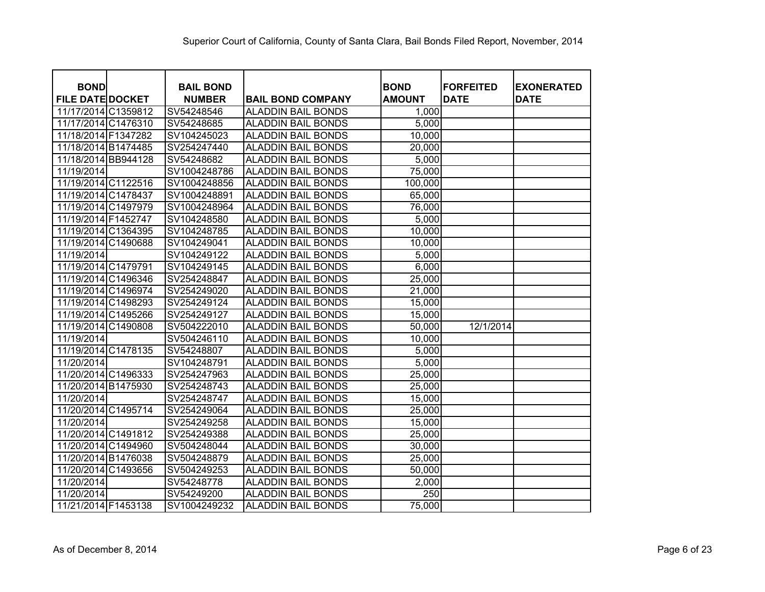| <b>BOND</b>             | <b>BAIL BOND</b> |                           | <b>BOND</b>      | <b>IFORFEITED</b> | <b>EXONERATED</b> |
|-------------------------|------------------|---------------------------|------------------|-------------------|-------------------|
| <b>FILE DATE DOCKET</b> | <b>NUMBER</b>    | <b>BAIL BOND COMPANY</b>  | <b>AMOUNT</b>    | <b>DATE</b>       | <b>DATE</b>       |
| 11/17/2014 C1359812     | SV54248546       | <b>ALADDIN BAIL BONDS</b> | 1,000            |                   |                   |
| 11/17/2014 C1476310     | SV54248685       | ALADDIN BAIL BONDS        | 5,000            |                   |                   |
| 11/18/2014 F1347282     | SV104245023      | <b>ALADDIN BAIL BONDS</b> | 10,000           |                   |                   |
| 11/18/2014 B1474485     | SV254247440      | ALADDIN BAIL BONDS        | 20,000           |                   |                   |
| 11/18/2014 BB944128     | SV54248682       | <b>ALADDIN BAIL BONDS</b> | 5,000            |                   |                   |
| 11/19/2014              | SV1004248786     | <b>ALADDIN BAIL BONDS</b> | 75,000           |                   |                   |
| 11/19/2014 C1122516     | SV1004248856     | <b>ALADDIN BAIL BONDS</b> | 100,000          |                   |                   |
| 11/19/2014 C1478437     | SV1004248891     | <b>ALADDIN BAIL BONDS</b> | 65,000           |                   |                   |
| 11/19/2014 C1497979     | SV1004248964     | <b>ALADDIN BAIL BONDS</b> | 76,000           |                   |                   |
| 11/19/2014 F1452747     | SV104248580      | <b>ALADDIN BAIL BONDS</b> | 5,000            |                   |                   |
| 11/19/2014 C1364395     | SV104248785      | <b>ALADDIN BAIL BONDS</b> | 10,000           |                   |                   |
| 11/19/2014 C1490688     | SV104249041      | <b>ALADDIN BAIL BONDS</b> | 10,000           |                   |                   |
| 11/19/2014              | SV104249122      | <b>ALADDIN BAIL BONDS</b> | 5,000            |                   |                   |
| 11/19/2014 C1479791     | SV104249145      | <b>ALADDIN BAIL BONDS</b> | 6,000            |                   |                   |
| 11/19/2014 C1496346     | SV254248847      | <b>ALADDIN BAIL BONDS</b> | 25,000           |                   |                   |
| 11/19/2014 C1496974     | SV254249020      | <b>ALADDIN BAIL BONDS</b> | 21,000           |                   |                   |
| 11/19/2014 C1498293     | SV254249124      | <b>ALADDIN BAIL BONDS</b> | 15,000           |                   |                   |
| 11/19/2014 C1495266     | SV254249127      | <b>ALADDIN BAIL BONDS</b> | 15,000           |                   |                   |
| 11/19/2014 C1490808     | SV504222010      | <b>ALADDIN BAIL BONDS</b> | 50,000           | 12/1/2014         |                   |
| 11/19/2014              | SV504246110      | <b>ALADDIN BAIL BONDS</b> | 10,000           |                   |                   |
| 11/19/2014 C1478135     | SV54248807       | <b>ALADDIN BAIL BONDS</b> | 5,000            |                   |                   |
| 11/20/2014              | SV104248791      | <b>ALADDIN BAIL BONDS</b> | 5,000            |                   |                   |
| 11/20/2014 C1496333     | SV254247963      | <b>ALADDIN BAIL BONDS</b> | 25,000           |                   |                   |
| 11/20/2014 B1475930     | SV254248743      | <b>ALADDIN BAIL BONDS</b> | 25,000           |                   |                   |
| 11/20/2014              | SV254248747      | ALADDIN BAIL BONDS        | 15,000           |                   |                   |
| 11/20/2014 C1495714     | SV254249064      | <b>ALADDIN BAIL BONDS</b> | 25,000           |                   |                   |
| 11/20/2014              | SV254249258      | ALADDIN BAIL BONDS        | 15,000           |                   |                   |
| 11/20/2014 C1491812     | SV254249388      | <b>ALADDIN BAIL BONDS</b> | 25,000           |                   |                   |
| 11/20/2014 C1494960     | SV504248044      | ALADDIN BAIL BONDS        | 30,000           |                   |                   |
| 11/20/2014 B1476038     | SV504248879      | <b>ALADDIN BAIL BONDS</b> | 25,000           |                   |                   |
| 11/20/2014 C1493656     | SV504249253      | <b>ALADDIN BAIL BONDS</b> | 50,000           |                   |                   |
| 11/20/2014              | SV54248778       | <b>ALADDIN BAIL BONDS</b> | 2,000            |                   |                   |
| 11/20/2014              | SV54249200       | <b>ALADDIN BAIL BONDS</b> | $\overline{250}$ |                   |                   |
| 11/21/2014 F1453138     | SV1004249232     | <b>ALADDIN BAIL BONDS</b> | 75,000           |                   |                   |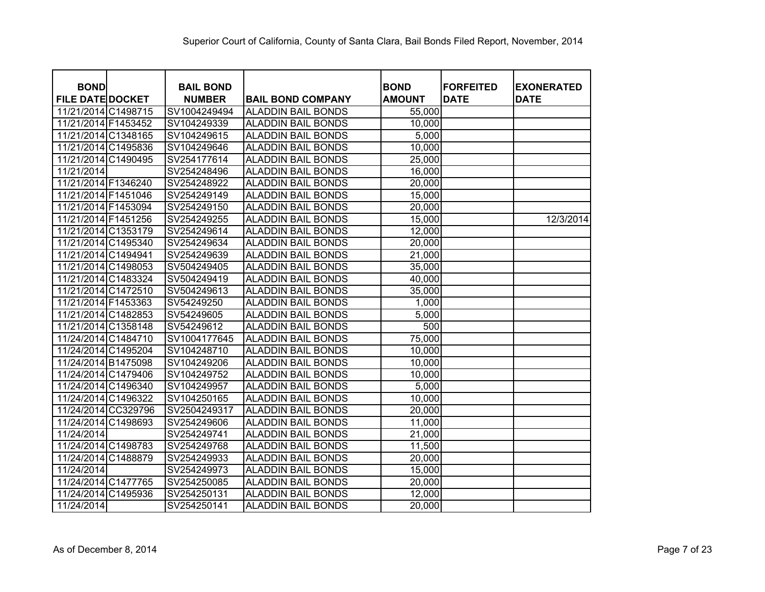| <b>BOND</b>             | <b>BAIL BOND</b> |                           | <b>BOND</b>   | <b>FORFEITED</b> | <b>EXONERATED</b> |
|-------------------------|------------------|---------------------------|---------------|------------------|-------------------|
| <b>FILE DATE DOCKET</b> | <b>NUMBER</b>    | <b>BAIL BOND COMPANY</b>  | <b>AMOUNT</b> | <b>DATE</b>      | <b>DATE</b>       |
| 11/21/2014 C1498715     | SV1004249494     | <b>ALADDIN BAIL BONDS</b> | 55,000        |                  |                   |
| 11/21/2014 F1453452     | SV104249339      | <b>ALADDIN BAIL BONDS</b> | 10,000        |                  |                   |
| 11/21/2014 C1348165     | SV104249615      | <b>ALADDIN BAIL BONDS</b> | 5,000         |                  |                   |
| 11/21/2014 C1495836     | SV104249646      | <b>ALADDIN BAIL BONDS</b> | 10,000        |                  |                   |
| 11/21/2014 C1490495     | SV254177614      | <b>ALADDIN BAIL BONDS</b> | 25,000        |                  |                   |
| 11/21/2014              | SV254248496      | <b>ALADDIN BAIL BONDS</b> | 16,000        |                  |                   |
| 11/21/2014 F1346240     | SV254248922      | <b>ALADDIN BAIL BONDS</b> | 20,000        |                  |                   |
| 11/21/2014 F1451046     | SV254249149      | <b>ALADDIN BAIL BONDS</b> | 15,000        |                  |                   |
| 11/21/2014 F1453094     | SV254249150      | <b>ALADDIN BAIL BONDS</b> | 20,000        |                  |                   |
| 11/21/2014 F1451256     | SV254249255      | <b>ALADDIN BAIL BONDS</b> | 15,000        |                  | 12/3/2014         |
| 11/21/2014 C1353179     | SV254249614      | <b>ALADDIN BAIL BONDS</b> | 12,000        |                  |                   |
| 11/21/2014 C1495340     | SV254249634      | <b>ALADDIN BAIL BONDS</b> | 20,000        |                  |                   |
| 11/21/2014 C1494941     | SV254249639      | <b>ALADDIN BAIL BONDS</b> | 21,000        |                  |                   |
| 11/21/2014 C1498053     | SV504249405      | <b>ALADDIN BAIL BONDS</b> | 35,000        |                  |                   |
| 11/21/2014 C1483324     | SV504249419      | <b>ALADDIN BAIL BONDS</b> | 40,000        |                  |                   |
| 11/21/2014 C1472510     | SV504249613      | <b>ALADDIN BAIL BONDS</b> | 35,000        |                  |                   |
| 11/21/2014 F1453363     | SV54249250       | <b>ALADDIN BAIL BONDS</b> | 1,000         |                  |                   |
| 11/21/2014 C1482853     | SV54249605       | <b>ALADDIN BAIL BONDS</b> | 5,000         |                  |                   |
| 11/21/2014 C1358148     | SV54249612       | <b>ALADDIN BAIL BONDS</b> | 500           |                  |                   |
| 11/24/2014 C1484710     | SV1004177645     | <b>ALADDIN BAIL BONDS</b> | 75,000        |                  |                   |
| 11/24/2014 C1495204     | SV104248710      | <b>ALADDIN BAIL BONDS</b> | 10,000        |                  |                   |
| 11/24/2014 B1475098     | SV104249206      | <b>ALADDIN BAIL BONDS</b> | 10,000        |                  |                   |
| 11/24/2014 C1479406     | SV104249752      | <b>ALADDIN BAIL BONDS</b> | 10,000        |                  |                   |
| 11/24/2014 C1496340     | SV104249957      | <b>ALADDIN BAIL BONDS</b> | 5,000         |                  |                   |
| 11/24/2014 C1496322     | SV104250165      | <b>ALADDIN BAIL BONDS</b> | 10,000        |                  |                   |
| 11/24/2014 CC329796     | SV2504249317     | <b>ALADDIN BAIL BONDS</b> | 20,000        |                  |                   |
| 11/24/2014 C1498693     | SV254249606      | <b>ALADDIN BAIL BONDS</b> | 11,000        |                  |                   |
| 11/24/2014              | SV254249741      | <b>ALADDIN BAIL BONDS</b> | 21,000        |                  |                   |
| 11/24/2014 C1498783     | SV254249768      | <b>ALADDIN BAIL BONDS</b> | 11,500        |                  |                   |
| 11/24/2014 C1488879     | SV254249933      | <b>ALADDIN BAIL BONDS</b> | 20,000        |                  |                   |
| 11/24/2014              | SV254249973      | <b>ALADDIN BAIL BONDS</b> | 15,000        |                  |                   |
| 11/24/2014 C1477765     | SV254250085      | <b>ALADDIN BAIL BONDS</b> | 20,000        |                  |                   |
| 11/24/2014 C1495936     | SV254250131      | <b>ALADDIN BAIL BONDS</b> | 12,000        |                  |                   |
| 11/24/2014              | SV254250141      | <b>ALADDIN BAIL BONDS</b> | 20,000        |                  |                   |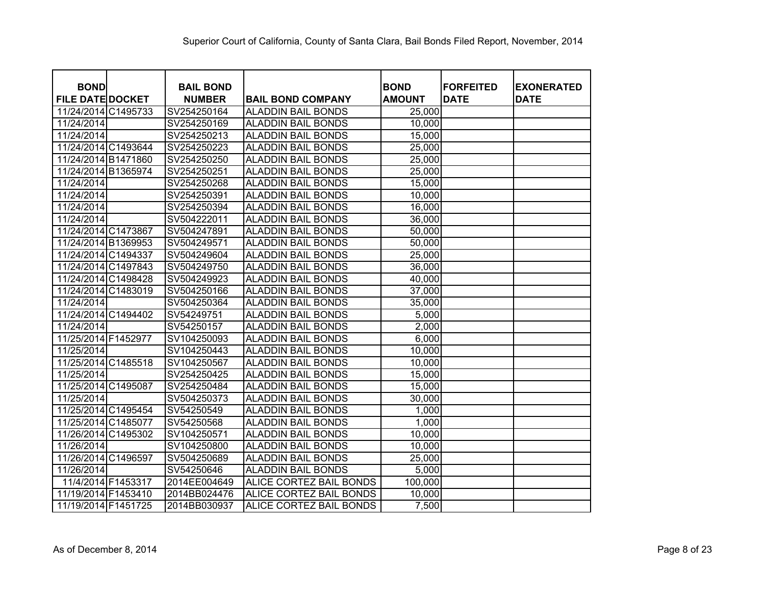| <b>BOND</b><br><b>FILE DATE DOCKET</b> | <b>BAIL BOND</b><br><b>NUMBER</b> | <b>BAIL BOND COMPANY</b>       | <b>BOND</b><br><b>AMOUNT</b> | <b>FORFEITED</b><br><b>DATE</b> | <b>EXONERATED</b><br><b>DATE</b> |
|----------------------------------------|-----------------------------------|--------------------------------|------------------------------|---------------------------------|----------------------------------|
| 11/24/2014 C1495733                    | SV254250164                       | <b>ALADDIN BAIL BONDS</b>      | 25,000                       |                                 |                                  |
| 11/24/2014                             | SV254250169                       | <b>ALADDIN BAIL BONDS</b>      | 10,000                       |                                 |                                  |
| 11/24/2014                             | SV254250213                       | <b>ALADDIN BAIL BONDS</b>      | 15,000                       |                                 |                                  |
| 11/24/2014 C1493644                    | SV254250223                       | <b>ALADDIN BAIL BONDS</b>      | 25,000                       |                                 |                                  |
| 11/24/2014 B1471860                    | SV254250250                       | <b>ALADDIN BAIL BONDS</b>      | 25,000                       |                                 |                                  |
| 11/24/2014 B1365974                    | SV254250251                       | <b>ALADDIN BAIL BONDS</b>      | 25,000                       |                                 |                                  |
| 11/24/2014                             | SV254250268                       | ALADDIN BAIL BONDS             | 15,000                       |                                 |                                  |
| 11/24/2014                             | SV254250391                       | <b>ALADDIN BAIL BONDS</b>      | 10,000                       |                                 |                                  |
| 11/24/2014                             | SV254250394                       | ALADDIN BAIL BONDS             | 16,000                       |                                 |                                  |
| 11/24/2014                             | SV504222011                       | <b>ALADDIN BAIL BONDS</b>      | 36,000                       |                                 |                                  |
| 11/24/2014 C1473867                    | SV504247891                       | <b>ALADDIN BAIL BONDS</b>      | 50,000                       |                                 |                                  |
| 11/24/2014 B1369953                    | SV504249571                       | <b>ALADDIN BAIL BONDS</b>      | 50,000                       |                                 |                                  |
| 11/24/2014 C1494337                    | SV504249604                       | <b>ALADDIN BAIL BONDS</b>      | 25,000                       |                                 |                                  |
| 11/24/2014 C1497843                    | SV504249750                       | <b>ALADDIN BAIL BONDS</b>      | 36,000                       |                                 |                                  |
| 11/24/2014 C1498428                    | SV504249923                       | <b>ALADDIN BAIL BONDS</b>      | 40,000                       |                                 |                                  |
| 11/24/2014 C1483019                    | SV504250166                       | ALADDIN BAIL BONDS             | 37,000                       |                                 |                                  |
| 11/24/2014                             | SV504250364                       | ALADDIN BAIL BONDS             | 35,000                       |                                 |                                  |
| 11/24/2014 C1494402                    | SV54249751                        | ALADDIN BAIL BONDS             | 5,000                        |                                 |                                  |
| 11/24/2014                             | SV54250157                        | ALADDIN BAIL BONDS             | 2,000                        |                                 |                                  |
| 11/25/2014 F1452977                    | SV104250093                       | <b>ALADDIN BAIL BONDS</b>      | 6,000                        |                                 |                                  |
| 11/25/2014                             | SV104250443                       | <b>ALADDIN BAIL BONDS</b>      | 10,000                       |                                 |                                  |
| 11/25/2014 C1485518                    | SV104250567                       | <b>ALADDIN BAIL BONDS</b>      | 10,000                       |                                 |                                  |
| 11/25/2014                             | SV254250425                       | <b>ALADDIN BAIL BONDS</b>      | 15,000                       |                                 |                                  |
| 11/25/2014 C1495087                    | SV254250484                       | <b>ALADDIN BAIL BONDS</b>      | 15,000                       |                                 |                                  |
| 11/25/2014                             | SV504250373                       | <b>ALADDIN BAIL BONDS</b>      | 30,000                       |                                 |                                  |
| 11/25/2014 C1495454                    | SV54250549                        | <b>ALADDIN BAIL BONDS</b>      | 1,000                        |                                 |                                  |
| 11/25/2014 C1485077                    | SV54250568                        | <b>ALADDIN BAIL BONDS</b>      | 1,000                        |                                 |                                  |
| 11/26/2014 C1495302                    | SV104250571                       | <b>ALADDIN BAIL BONDS</b>      | 10,000                       |                                 |                                  |
| 11/26/2014                             | SV104250800                       | <b>ALADDIN BAIL BONDS</b>      | 10,000                       |                                 |                                  |
| 11/26/2014 C1496597                    | SV504250689                       | <b>ALADDIN BAIL BONDS</b>      | 25,000                       |                                 |                                  |
| 11/26/2014                             | SV54250646                        | <b>ALADDIN BAIL BONDS</b>      | 5,000                        |                                 |                                  |
| 11/4/2014 F1453317                     | 2014EE004649                      | <b>ALICE CORTEZ BAIL BONDS</b> | 100,000                      |                                 |                                  |
| 11/19/2014 F1453410                    | 2014BB024476                      | ALICE CORTEZ BAIL BONDS        | 10,000                       |                                 |                                  |
| 11/19/2014 F1451725                    | 2014BB030937                      | ALICE CORTEZ BAIL BONDS        | 7,500                        |                                 |                                  |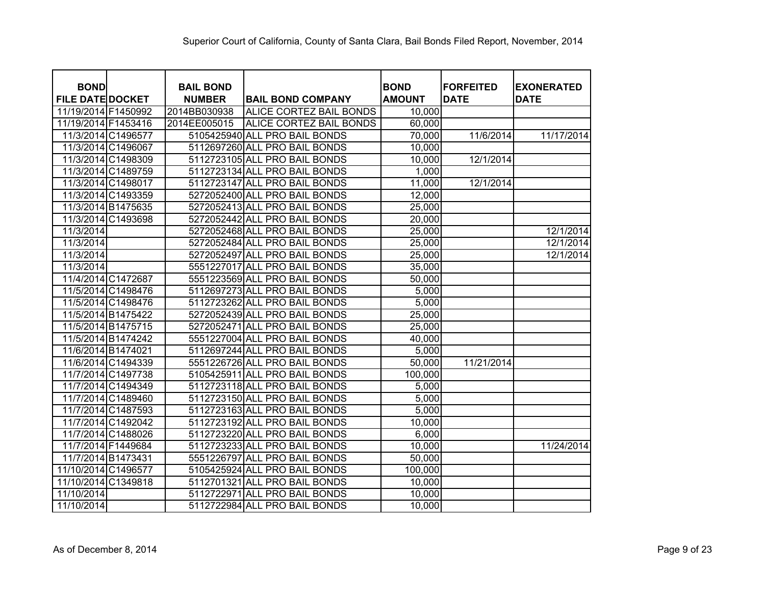| <b>BOND</b>             |                    | <b>BAIL BOND</b> |                                | <b>BOND</b>   | <b>FORFEITED</b> | <b>EXONERATED</b> |
|-------------------------|--------------------|------------------|--------------------------------|---------------|------------------|-------------------|
| <b>FILE DATE DOCKET</b> |                    | <b>NUMBER</b>    | <b>BAIL BOND COMPANY</b>       | <b>AMOUNT</b> | <b>DATE</b>      | <b>DATE</b>       |
| 11/19/2014 F1450992     |                    | 2014BB030938     | <b>ALICE CORTEZ BAIL BONDS</b> | 10,000        |                  |                   |
| 11/19/2014 F1453416     |                    | 2014EE005015     | <b>ALICE CORTEZ BAIL BONDS</b> | 60,000        |                  |                   |
| 11/3/2014 C1496577      |                    |                  | 5105425940 ALL PRO BAIL BONDS  | 70,000        | 11/6/2014        | 11/17/2014        |
|                         | 11/3/2014 C1496067 |                  | 5112697260 ALL PRO BAIL BONDS  | 10,000        |                  |                   |
|                         | 11/3/2014 C1498309 |                  | 5112723105 ALL PRO BAIL BONDS  | 10,000        | 12/1/2014        |                   |
|                         | 11/3/2014 C1489759 |                  | 5112723134 ALL PRO BAIL BONDS  | 1,000         |                  |                   |
| 11/3/2014 C1498017      |                    |                  | 5112723147 ALL PRO BAIL BONDS  | 11,000        | 12/1/2014        |                   |
|                         | 11/3/2014 C1493359 |                  | 5272052400 ALL PRO BAIL BONDS  | 12,000        |                  |                   |
|                         | 11/3/2014 B1475635 |                  | 5272052413 ALL PRO BAIL BONDS  | 25,000        |                  |                   |
|                         | 11/3/2014 C1493698 |                  | 5272052442 ALL PRO BAIL BONDS  | 20,000        |                  |                   |
| 11/3/2014               |                    |                  | 5272052468 ALL PRO BAIL BONDS  | 25,000        |                  | 12/1/2014         |
| 11/3/2014               |                    |                  | 5272052484 ALL PRO BAIL BONDS  | 25,000        |                  | 12/1/2014         |
| 11/3/2014               |                    |                  | 5272052497 ALL PRO BAIL BONDS  | 25,000        |                  | 12/1/2014         |
| 11/3/2014               |                    |                  | 5551227017 ALL PRO BAIL BONDS  | 35,000        |                  |                   |
|                         | 11/4/2014 C1472687 |                  | 5551223569 ALL PRO BAIL BONDS  | 50,000        |                  |                   |
|                         | 11/5/2014 C1498476 |                  | 5112697273 ALL PRO BAIL BONDS  | 5,000         |                  |                   |
|                         | 11/5/2014 C1498476 |                  | 5112723262 ALL PRO BAIL BONDS  | 5,000         |                  |                   |
|                         | 11/5/2014 B1475422 |                  | 5272052439 ALL PRO BAIL BONDS  | 25,000        |                  |                   |
|                         | 11/5/2014 B1475715 |                  | 5272052471 ALL PRO BAIL BONDS  | 25,000        |                  |                   |
|                         | 11/5/2014 B1474242 |                  | 5551227004 ALL PRO BAIL BONDS  | 40,000        |                  |                   |
| 11/6/2014 B1474021      |                    |                  | 5112697244 ALL PRO BAIL BONDS  | 5,000         |                  |                   |
|                         | 11/6/2014 C1494339 |                  | 5551226726 ALL PRO BAIL BONDS  | 50,000        | 11/21/2014       |                   |
|                         | 11/7/2014 C1497738 |                  | 5105425911 ALL PRO BAIL BONDS  | 100,000       |                  |                   |
|                         | 11/7/2014 C1494349 |                  | 5112723118 ALL PRO BAIL BONDS  | 5,000         |                  |                   |
|                         | 11/7/2014 C1489460 |                  | 5112723150 ALL PRO BAIL BONDS  | 5,000         |                  |                   |
|                         | 11/7/2014 C1487593 |                  | 5112723163 ALL PRO BAIL BONDS  | 5,000         |                  |                   |
|                         | 11/7/2014 C1492042 |                  | 5112723192 ALL PRO BAIL BONDS  | 10,000        |                  |                   |
|                         | 11/7/2014 C1488026 |                  | 5112723220 ALL PRO BAIL BONDS  | 6,000         |                  |                   |
| 11/7/2014 F1449684      |                    |                  | 5112723233 ALL PRO BAIL BONDS  | 10,000        |                  | 11/24/2014        |
| 11/7/2014 B1473431      |                    |                  | 5551226797 ALL PRO BAIL BONDS  | 50,000        |                  |                   |
| 11/10/2014 C1496577     |                    |                  | 5105425924 ALL PRO BAIL BONDS  | 100,000       |                  |                   |
| 11/10/2014 C1349818     |                    |                  | 5112701321 ALL PRO BAIL BONDS  | 10,000        |                  |                   |
| 11/10/2014              |                    |                  | 5112722971 ALL PRO BAIL BONDS  | 10,000        |                  |                   |
| 11/10/2014              |                    |                  | 5112722984 ALL PRO BAIL BONDS  | 10,000        |                  |                   |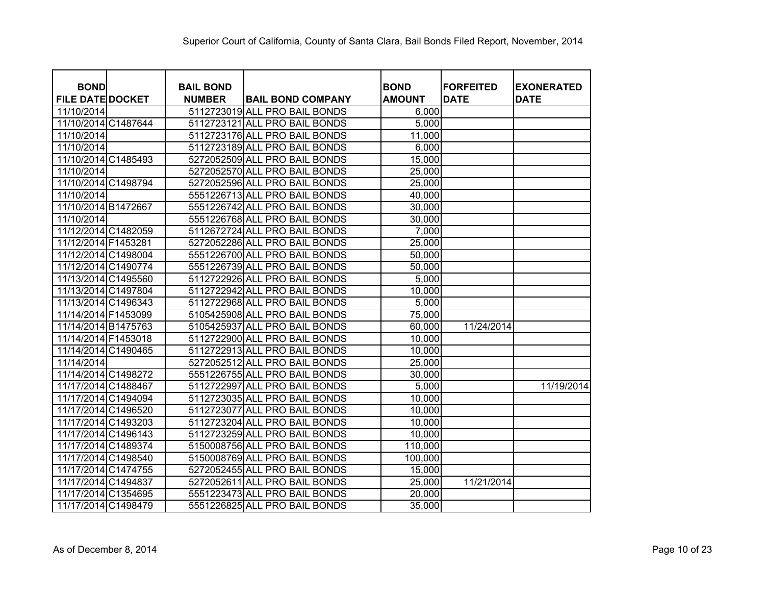| <b>BOND</b>             | <b>BAIL BOND</b> |                               | <b>BOND</b>   | <b>FORFEITED</b> | <b>EXONERATED</b> |
|-------------------------|------------------|-------------------------------|---------------|------------------|-------------------|
| <b>FILE DATE DOCKET</b> | <b>NUMBER</b>    | <b>BAIL BOND COMPANY</b>      | <b>AMOUNT</b> | <b>DATE</b>      | <b>DATE</b>       |
| 11/10/2014              |                  | 5112723019 ALL PRO BAIL BONDS | 6,000         |                  |                   |
| 11/10/2014 C1487644     |                  | 5112723121 ALL PRO BAIL BONDS | 5,000         |                  |                   |
| 11/10/2014              |                  | 5112723176 ALL PRO BAIL BONDS | 11,000        |                  |                   |
| 11/10/2014              |                  | 5112723189 ALL PRO BAIL BONDS | 6,000         |                  |                   |
| 11/10/2014 C1485493     |                  | 5272052509 ALL PRO BAIL BONDS | 15,000        |                  |                   |
| 11/10/2014              |                  | 5272052570 ALL PRO BAIL BONDS | 25,000        |                  |                   |
| 11/10/2014 C1498794     |                  | 5272052596 ALL PRO BAIL BONDS | 25,000        |                  |                   |
| 11/10/2014              |                  | 5551226713 ALL PRO BAIL BONDS | 40,000        |                  |                   |
| 11/10/2014 B1472667     |                  | 5551226742 ALL PRO BAIL BONDS | 30,000        |                  |                   |
| 11/10/2014              |                  | 5551226768 ALL PRO BAIL BONDS | 30,000        |                  |                   |
| 11/12/2014 C1482059     |                  | 5112672724 ALL PRO BAIL BONDS | 7,000         |                  |                   |
| 11/12/2014 F1453281     |                  | 5272052286 ALL PRO BAIL BONDS | 25,000        |                  |                   |
| 11/12/2014 C1498004     |                  | 5551226700 ALL PRO BAIL BONDS | 50,000        |                  |                   |
| 11/12/2014 C1490774     |                  | 5551226739 ALL PRO BAIL BONDS | 50,000        |                  |                   |
| 11/13/2014 C1495560     |                  | 5112722926 ALL PRO BAIL BONDS | 5,000         |                  |                   |
| 11/13/2014 C1497804     |                  | 5112722942 ALL PRO BAIL BONDS | 10,000        |                  |                   |
| 11/13/2014 C1496343     |                  | 5112722968 ALL PRO BAIL BONDS | 5,000         |                  |                   |
| 11/14/2014 F1453099     |                  | 5105425908 ALL PRO BAIL BONDS | 75,000        |                  |                   |
| 11/14/2014 B1475763     |                  | 5105425937 ALL PRO BAIL BONDS | 60,000        | 11/24/2014       |                   |
| 11/14/2014 F1453018     |                  | 5112722900 ALL PRO BAIL BONDS | 10,000        |                  |                   |
| 11/14/2014 C1490465     |                  | 5112722913 ALL PRO BAIL BONDS | 10,000        |                  |                   |
| 11/14/2014              |                  | 5272052512 ALL PRO BAIL BONDS | 25,000        |                  |                   |
| 11/14/2014 C1498272     |                  | 5551226755 ALL PRO BAIL BONDS | 30,000        |                  |                   |
| 11/17/2014 C1488467     |                  | 5112722997 ALL PRO BAIL BONDS | 5,000         |                  | 11/19/2014        |
| 11/17/2014 C1494094     |                  | 5112723035 ALL PRO BAIL BONDS | 10,000        |                  |                   |
| 11/17/2014 C1496520     |                  | 5112723077 ALL PRO BAIL BONDS | 10,000        |                  |                   |
| 11/17/2014 C1493203     |                  | 5112723204 ALL PRO BAIL BONDS | 10,000        |                  |                   |
| 11/17/2014 C1496143     |                  | 5112723259 ALL PRO BAIL BONDS | 10,000        |                  |                   |
| 11/17/2014 C1489374     |                  | 5150008756 ALL PRO BAIL BONDS | 110,000       |                  |                   |
| 11/17/2014 C1498540     |                  | 5150008769 ALL PRO BAIL BONDS | 100,000       |                  |                   |
| 11/17/2014 C1474755     |                  | 5272052455 ALL PRO BAIL BONDS | 15,000        |                  |                   |
| 11/17/2014 C1494837     |                  | 5272052611 ALL PRO BAIL BONDS | 25,000        | 11/21/2014       |                   |
| 11/17/2014 C1354695     |                  | 5551223473 ALL PRO BAIL BONDS | 20,000        |                  |                   |
| 11/17/2014 C1498479     |                  | 5551226825 ALL PRO BAIL BONDS | 35,000        |                  |                   |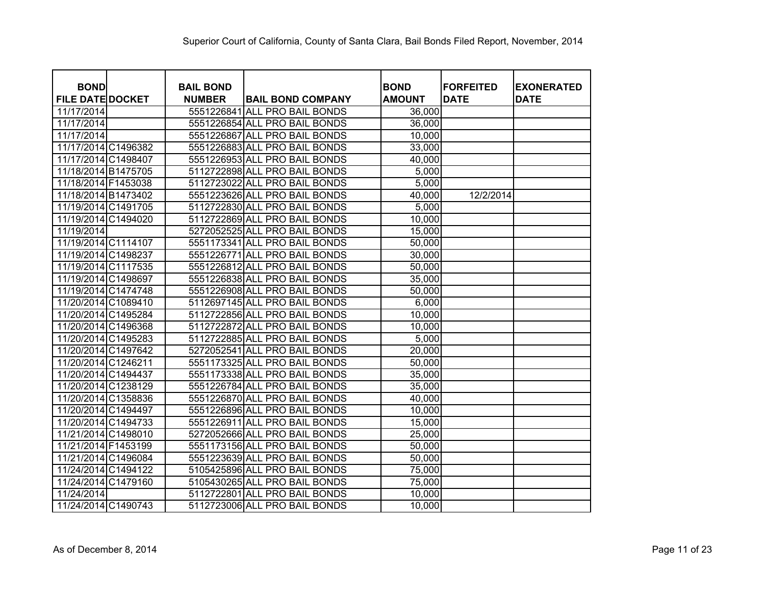| <b>BOND</b>             | <b>BAIL BOND</b> |                               | <b>BOND</b>   | <b>FORFEITED</b> | <b>EXONERATED</b> |
|-------------------------|------------------|-------------------------------|---------------|------------------|-------------------|
| <b>FILE DATE DOCKET</b> | <b>NUMBER</b>    | <b>BAIL BOND COMPANY</b>      | <b>AMOUNT</b> | <b>DATE</b>      | <b>DATE</b>       |
| 11/17/2014              | 5551226841       | <b>ALL PRO BAIL BONDS</b>     | 36,000        |                  |                   |
| 11/17/2014              |                  | 5551226854 ALL PRO BAIL BONDS | 36,000        |                  |                   |
| 11/17/2014              |                  | 5551226867 ALL PRO BAIL BONDS | 10,000        |                  |                   |
| 11/17/2014 C1496382     |                  | 5551226883 ALL PRO BAIL BONDS | 33,000        |                  |                   |
| 11/17/2014 C1498407     |                  | 5551226953 ALL PRO BAIL BONDS | 40,000        |                  |                   |
| 11/18/2014 B1475705     |                  | 5112722898 ALL PRO BAIL BONDS | 5,000         |                  |                   |
| 11/18/2014 F1453038     |                  | 5112723022 ALL PRO BAIL BONDS | 5,000         |                  |                   |
| 11/18/2014 B1473402     |                  | 5551223626 ALL PRO BAIL BONDS | 40,000        | 12/2/2014        |                   |
| 11/19/2014 C1491705     |                  | 5112722830 ALL PRO BAIL BONDS | 5,000         |                  |                   |
| 11/19/2014 C1494020     |                  | 5112722869 ALL PRO BAIL BONDS | 10,000        |                  |                   |
| 11/19/2014              |                  | 5272052525 ALL PRO BAIL BONDS | 15,000        |                  |                   |
| 11/19/2014 C1114107     |                  | 5551173341 ALL PRO BAIL BONDS | 50,000        |                  |                   |
| 11/19/2014 C1498237     | 5551226771       | <b>ALL PRO BAIL BONDS</b>     | 30,000        |                  |                   |
| 11/19/2014 C1117535     |                  | 5551226812 ALL PRO BAIL BONDS | 50,000        |                  |                   |
| 11/19/2014 C1498697     |                  | 5551226838 ALL PRO BAIL BONDS | 35,000        |                  |                   |
| 11/19/2014 C1474748     |                  | 5551226908 ALL PRO BAIL BONDS | 50,000        |                  |                   |
| 11/20/2014 C1089410     |                  | 5112697145 ALL PRO BAIL BONDS | 6,000         |                  |                   |
| 11/20/2014 C1495284     |                  | 5112722856 ALL PRO BAIL BONDS | 10,000        |                  |                   |
| 11/20/2014 C1496368     |                  | 5112722872 ALL PRO BAIL BONDS | 10,000        |                  |                   |
| 11/20/2014 C1495283     |                  | 5112722885 ALL PRO BAIL BONDS | 5,000         |                  |                   |
| 11/20/2014 C1497642     |                  | 5272052541 ALL PRO BAIL BONDS | 20,000        |                  |                   |
| 11/20/2014 C1246211     |                  | 5551173325 ALL PRO BAIL BONDS | 50,000        |                  |                   |
| 11/20/2014 C1494437     |                  | 5551173338 ALL PRO BAIL BONDS | 35,000        |                  |                   |
| 11/20/2014 C1238129     |                  | 5551226784 ALL PRO BAIL BONDS | 35,000        |                  |                   |
| 11/20/2014 C1358836     |                  | 5551226870 ALL PRO BAIL BONDS | 40,000        |                  |                   |
| 11/20/2014 C1494497     |                  | 5551226896 ALL PRO BAIL BONDS | 10,000        |                  |                   |
| 11/20/2014 C1494733     |                  | 5551226911 ALL PRO BAIL BONDS | 15,000        |                  |                   |
| 11/21/2014 C1498010     |                  | 5272052666 ALL PRO BAIL BONDS | 25,000        |                  |                   |
| 11/21/2014 F1453199     |                  | 5551173156 ALL PRO BAIL BONDS | 50,000        |                  |                   |
| 11/21/2014 C1496084     |                  | 5551223639 ALL PRO BAIL BONDS | 50,000        |                  |                   |
| 11/24/2014 C1494122     |                  | 5105425896 ALL PRO BAIL BONDS | 75,000        |                  |                   |
| 11/24/2014 C1479160     |                  | 5105430265 ALL PRO BAIL BONDS | 75,000        |                  |                   |
| 11/24/2014              |                  | 5112722801 ALL PRO BAIL BONDS | 10,000        |                  |                   |
| 11/24/2014 C1490743     |                  | 5112723006 ALL PRO BAIL BONDS | 10,000        |                  |                   |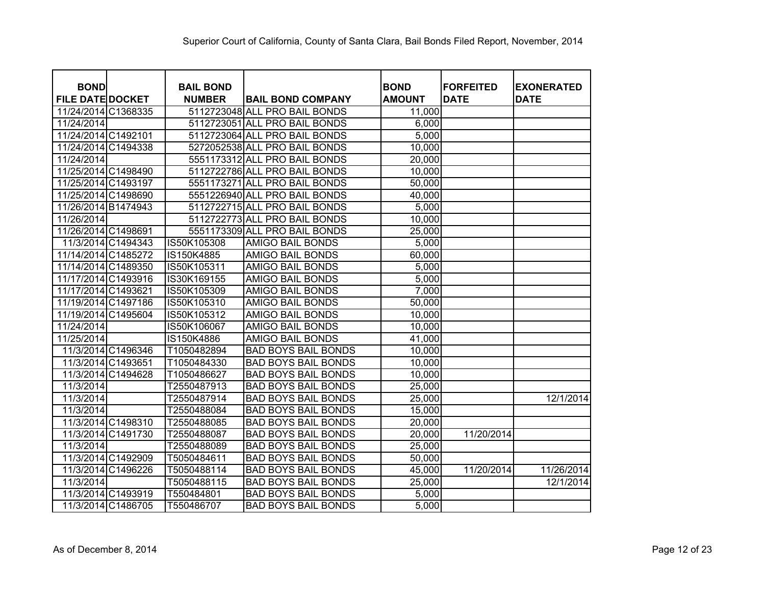| <b>BOND</b>             |                    | <b>BAIL BOND</b> |                               | <b>BOND</b>   | <b>FORFEITED</b> | <b>EXONERATED</b> |
|-------------------------|--------------------|------------------|-------------------------------|---------------|------------------|-------------------|
| <b>FILE DATE DOCKET</b> |                    | <b>NUMBER</b>    | <b>BAIL BOND COMPANY</b>      | <b>AMOUNT</b> | <b>DATE</b>      | <b>DATE</b>       |
| 11/24/2014 C1368335     |                    |                  | 5112723048 ALL PRO BAIL BONDS | 11,000        |                  |                   |
| 11/24/2014              |                    |                  | 5112723051 ALL PRO BAIL BONDS | 6,000         |                  |                   |
| 11/24/2014 C1492101     |                    |                  | 5112723064 ALL PRO BAIL BONDS | 5,000         |                  |                   |
| 11/24/2014 C1494338     |                    |                  | 5272052538 ALL PRO BAIL BONDS | 10,000        |                  |                   |
| 11/24/2014              |                    |                  | 5551173312 ALL PRO BAIL BONDS | 20,000        |                  |                   |
| 11/25/2014 C1498490     |                    |                  | 5112722786 ALL PRO BAIL BONDS | 10,000        |                  |                   |
| 11/25/2014 C1493197     |                    |                  | 5551173271 ALL PRO BAIL BONDS | 50,000        |                  |                   |
| 11/25/2014 C1498690     |                    |                  | 5551226940 ALL PRO BAIL BONDS | 40,000        |                  |                   |
| 11/26/2014 B1474943     |                    |                  | 5112722715 ALL PRO BAIL BONDS | 5,000         |                  |                   |
| 11/26/2014              |                    |                  | 5112722773 ALL PRO BAIL BONDS | 10,000        |                  |                   |
| 11/26/2014 C1498691     |                    |                  | 5551173309 ALL PRO BAIL BONDS | 25,000        |                  |                   |
|                         | 11/3/2014 C1494343 | IS50K105308      | AMIGO BAIL BONDS              | 5,000         |                  |                   |
| 11/14/2014 C1485272     |                    | IS150K4885       | AMIGO BAIL BONDS              | 60,000        |                  |                   |
| 11/14/2014 C1489350     |                    | IS50K105311      | <b>AMIGO BAIL BONDS</b>       | 5,000         |                  |                   |
| 11/17/2014 C1493916     |                    | IS30K169155      | <b>AMIGO BAIL BONDS</b>       | 5,000         |                  |                   |
| 11/17/2014 C1493621     |                    | IS50K105309      | <b>AMIGO BAIL BONDS</b>       | 7,000         |                  |                   |
| 11/19/2014 C1497186     |                    | IS50K105310      | <b>AMIGO BAIL BONDS</b>       | 50,000        |                  |                   |
| 11/19/2014 C1495604     |                    | IS50K105312      | <b>AMIGO BAIL BONDS</b>       | 10,000        |                  |                   |
| 11/24/2014              |                    | IS50K106067      | <b>AMIGO BAIL BONDS</b>       | 10,000        |                  |                   |
| 11/25/2014              |                    | IS150K4886       | <b>AMIGO BAIL BONDS</b>       | 41,000        |                  |                   |
|                         | 11/3/2014 C1496346 | T1050482894      | <b>BAD BOYS BAIL BONDS</b>    | 10,000        |                  |                   |
|                         | 11/3/2014 C1493651 | T1050484330      | <b>BAD BOYS BAIL BONDS</b>    | 10,000        |                  |                   |
|                         | 11/3/2014 C1494628 | T1050486627      | <b>BAD BOYS BAIL BONDS</b>    | 10,000        |                  |                   |
| 11/3/2014               |                    | T2550487913      | <b>BAD BOYS BAIL BONDS</b>    | 25,000        |                  |                   |
| 11/3/2014               |                    | T2550487914      | <b>BAD BOYS BAIL BONDS</b>    | 25,000        |                  | 12/1/2014         |
| 11/3/2014               |                    | T2550488084      | <b>BAD BOYS BAIL BONDS</b>    | 15,000        |                  |                   |
|                         | 11/3/2014 C1498310 | T2550488085      | <b>BAD BOYS BAIL BONDS</b>    | 20,000        |                  |                   |
|                         | 11/3/2014 C1491730 | T2550488087      | <b>BAD BOYS BAIL BONDS</b>    | 20,000        | 11/20/2014       |                   |
| 11/3/2014               |                    | T2550488089      | <b>BAD BOYS BAIL BONDS</b>    | 25,000        |                  |                   |
|                         | 11/3/2014 C1492909 | T5050484611      | <b>BAD BOYS BAIL BONDS</b>    | 50,000        |                  |                   |
|                         | 11/3/2014 C1496226 | T5050488114      | <b>BAD BOYS BAIL BONDS</b>    | 45,000        | 11/20/2014       | 11/26/2014        |
| 11/3/2014               |                    | T5050488115      | <b>BAD BOYS BAIL BONDS</b>    | 25,000        |                  | 12/1/2014         |
|                         | 11/3/2014 C1493919 | T550484801       | <b>BAD BOYS BAIL BONDS</b>    | 5,000         |                  |                   |
|                         | 11/3/2014 C1486705 | T550486707       | <b>BAD BOYS BAIL BONDS</b>    | 5,000         |                  |                   |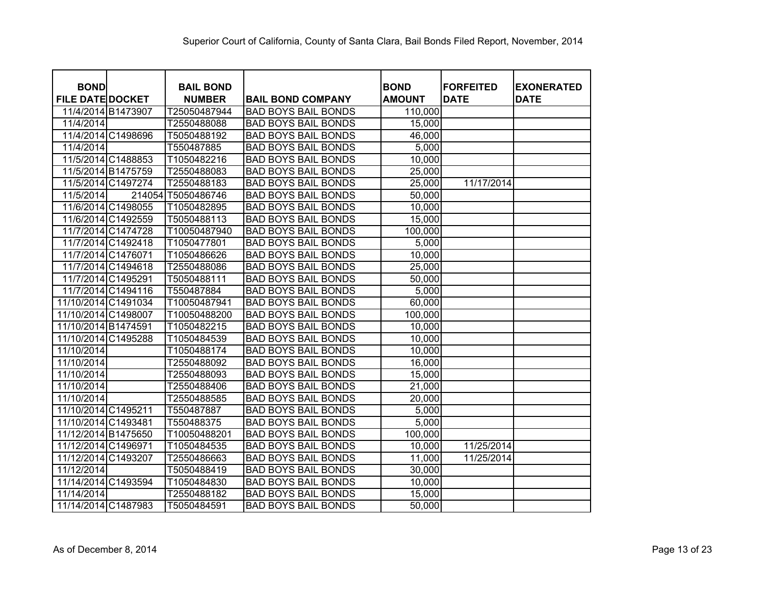| <b>BOND</b>             |                    | <b>BAIL BOND</b>   |                            | <b>BOND</b>   | <b>FORFEITED</b> | <b>EXONERATED</b> |
|-------------------------|--------------------|--------------------|----------------------------|---------------|------------------|-------------------|
| <b>FILE DATE DOCKET</b> |                    | <b>NUMBER</b>      | <b>BAIL BOND COMPANY</b>   | <b>AMOUNT</b> | <b>DATE</b>      | <b>DATE</b>       |
|                         | 11/4/2014 B1473907 | T25050487944       | <b>BAD BOYS BAIL BONDS</b> | 110,000       |                  |                   |
| 11/4/2014               |                    | T2550488088        | <b>BAD BOYS BAIL BONDS</b> | 15,000        |                  |                   |
|                         | 11/4/2014 C1498696 | T5050488192        | <b>BAD BOYS BAIL BONDS</b> | 46,000        |                  |                   |
| 11/4/2014               |                    | T550487885         | <b>BAD BOYS BAIL BONDS</b> | 5,000         |                  |                   |
|                         | 11/5/2014 C1488853 | T1050482216        | <b>BAD BOYS BAIL BONDS</b> | 10,000        |                  |                   |
|                         | 11/5/2014 B1475759 | T2550488083        | <b>BAD BOYS BAIL BONDS</b> | 25,000        |                  |                   |
|                         | 11/5/2014 C1497274 | T2550488183        | <b>BAD BOYS BAIL BONDS</b> | 25,000        | 11/17/2014       |                   |
| 11/5/2014               |                    | 214054 T5050486746 | <b>BAD BOYS BAIL BONDS</b> | 50,000        |                  |                   |
|                         | 11/6/2014 C1498055 | T1050482895        | <b>BAD BOYS BAIL BONDS</b> | 10,000        |                  |                   |
|                         | 11/6/2014 C1492559 | T5050488113        | <b>BAD BOYS BAIL BONDS</b> | 15,000        |                  |                   |
|                         | 11/7/2014 C1474728 | T10050487940       | <b>BAD BOYS BAIL BONDS</b> | 100,000       |                  |                   |
|                         | 11/7/2014 C1492418 | T1050477801        | <b>BAD BOYS BAIL BONDS</b> | 5,000         |                  |                   |
|                         | 11/7/2014 C1476071 | T1050486626        | <b>BAD BOYS BAIL BONDS</b> | 10,000        |                  |                   |
|                         | 11/7/2014 C1494618 | T2550488086        | <b>BAD BOYS BAIL BONDS</b> | 25,000        |                  |                   |
|                         | 11/7/2014 C1495291 | T5050488111        | <b>BAD BOYS BAIL BONDS</b> | 50,000        |                  |                   |
|                         | 11/7/2014 C1494116 | T550487884         | <b>BAD BOYS BAIL BONDS</b> | 5,000         |                  |                   |
| 11/10/2014 C1491034     |                    | T10050487941       | <b>BAD BOYS BAIL BONDS</b> | 60,000        |                  |                   |
| 11/10/2014 C1498007     |                    | T10050488200       | <b>BAD BOYS BAIL BONDS</b> | 100,000       |                  |                   |
| 11/10/2014 B1474591     |                    | T1050482215        | <b>BAD BOYS BAIL BONDS</b> | 10,000        |                  |                   |
| 11/10/2014 C1495288     |                    | T1050484539        | <b>BAD BOYS BAIL BONDS</b> | 10,000        |                  |                   |
| 11/10/2014              |                    | T1050488174        | <b>BAD BOYS BAIL BONDS</b> | 10,000        |                  |                   |
| 11/10/2014              |                    | T2550488092        | <b>BAD BOYS BAIL BONDS</b> | 16,000        |                  |                   |
| 11/10/2014              |                    | T2550488093        | <b>BAD BOYS BAIL BONDS</b> | 15,000        |                  |                   |
| 11/10/2014              |                    | T2550488406        | <b>BAD BOYS BAIL BONDS</b> | 21,000        |                  |                   |
| 11/10/2014              |                    | T2550488585        | <b>BAD BOYS BAIL BONDS</b> | 20,000        |                  |                   |
| 11/10/2014 C1495211     |                    | T550487887         | <b>BAD BOYS BAIL BONDS</b> | 5,000         |                  |                   |
| 11/10/2014 C1493481     |                    | T550488375         | <b>BAD BOYS BAIL BONDS</b> | 5,000         |                  |                   |
| 11/12/2014 B1475650     |                    | T10050488201       | <b>BAD BOYS BAIL BONDS</b> | 100,000       |                  |                   |
| 11/12/2014 C1496971     |                    | T1050484535        | <b>BAD BOYS BAIL BONDS</b> | 10,000        | 11/25/2014       |                   |
| 11/12/2014 C1493207     |                    | T2550486663        | <b>BAD BOYS BAIL BONDS</b> | 11,000        | 11/25/2014       |                   |
| 11/12/2014              |                    | T5050488419        | <b>BAD BOYS BAIL BONDS</b> | 30,000        |                  |                   |
| 11/14/2014 C1493594     |                    | T1050484830        | <b>BAD BOYS BAIL BONDS</b> | 10,000        |                  |                   |
| 11/14/2014              |                    | T2550488182        | <b>BAD BOYS BAIL BONDS</b> | 15,000        |                  |                   |
| 11/14/2014 C1487983     |                    | T5050484591        | <b>BAD BOYS BAIL BONDS</b> | 50,000        |                  |                   |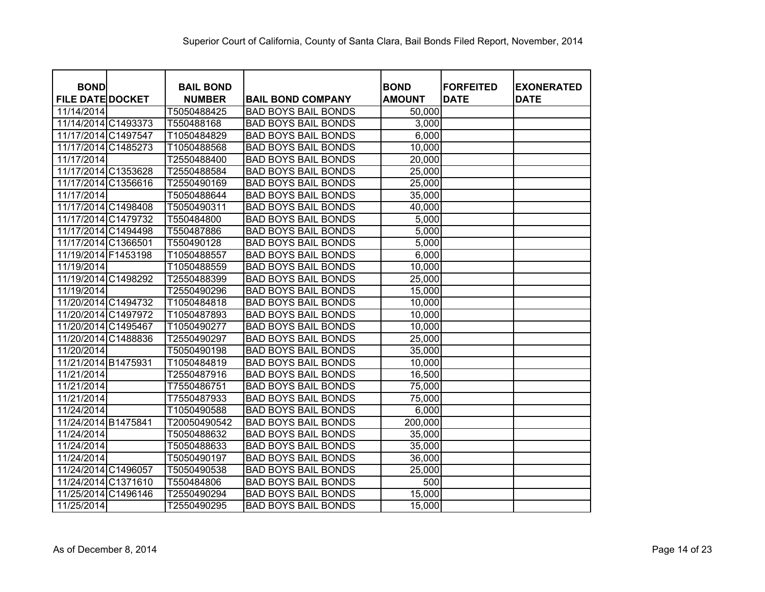| <b>BOND</b>             | <b>BAIL BOND</b> |                            | <b>BOND</b>   | <b>FORFEITED</b> | <b>EXONERATED</b> |
|-------------------------|------------------|----------------------------|---------------|------------------|-------------------|
| <b>FILE DATE DOCKET</b> | <b>NUMBER</b>    | <b>BAIL BOND COMPANY</b>   | <b>AMOUNT</b> | <b>DATE</b>      | <b>DATE</b>       |
| 11/14/2014              | T5050488425      | <b>BAD BOYS BAIL BONDS</b> | 50,000        |                  |                   |
| 11/14/2014 C1493373     | T550488168       | <b>BAD BOYS BAIL BONDS</b> | 3,000         |                  |                   |
| 11/17/2014 C1497547     | T1050484829      | <b>BAD BOYS BAIL BONDS</b> | 6,000         |                  |                   |
| 11/17/2014 C1485273     | T1050488568      | <b>BAD BOYS BAIL BONDS</b> | 10,000        |                  |                   |
| 11/17/2014              | T2550488400      | <b>BAD BOYS BAIL BONDS</b> | 20,000        |                  |                   |
| 11/17/2014 C1353628     | T2550488584      | <b>BAD BOYS BAIL BONDS</b> | 25,000        |                  |                   |
| 11/17/2014 C1356616     | T2550490169      | <b>BAD BOYS BAIL BONDS</b> | 25,000        |                  |                   |
| 11/17/2014              | T5050488644      | <b>BAD BOYS BAIL BONDS</b> | 35,000        |                  |                   |
| 11/17/2014 C1498408     | T5050490311      | <b>BAD BOYS BAIL BONDS</b> | 40,000        |                  |                   |
| 11/17/2014 C1479732     | T550484800       | <b>BAD BOYS BAIL BONDS</b> | 5,000         |                  |                   |
| 11/17/2014 C1494498     | T550487886       | <b>BAD BOYS BAIL BONDS</b> | 5,000         |                  |                   |
| 11/17/2014 C1366501     | T550490128       | <b>BAD BOYS BAIL BONDS</b> | 5,000         |                  |                   |
| 11/19/2014 F1453198     | T1050488557      | <b>BAD BOYS BAIL BONDS</b> | 6,000         |                  |                   |
| 11/19/2014              | T1050488559      | <b>BAD BOYS BAIL BONDS</b> | 10,000        |                  |                   |
| 11/19/2014 C1498292     | T2550488399      | <b>BAD BOYS BAIL BONDS</b> | 25,000        |                  |                   |
| 11/19/2014              | T2550490296      | <b>BAD BOYS BAIL BONDS</b> | 15,000        |                  |                   |
| 11/20/2014 C1494732     | T1050484818      | <b>BAD BOYS BAIL BONDS</b> | 10,000        |                  |                   |
| 11/20/2014 C1497972     | T1050487893      | <b>BAD BOYS BAIL BONDS</b> | 10,000        |                  |                   |
| 11/20/2014 C1495467     | T1050490277      | <b>BAD BOYS BAIL BONDS</b> | 10,000        |                  |                   |
| 11/20/2014 C1488836     | T2550490297      | <b>BAD BOYS BAIL BONDS</b> | 25,000        |                  |                   |
| 11/20/2014              | T5050490198      | <b>BAD BOYS BAIL BONDS</b> | 35,000        |                  |                   |
| 11/21/2014 B1475931     | T1050484819      | <b>BAD BOYS BAIL BONDS</b> | 10,000        |                  |                   |
| 11/21/2014              | T2550487916      | <b>BAD BOYS BAIL BONDS</b> | 16,500        |                  |                   |
| 11/21/2014              | T7550486751      | <b>BAD BOYS BAIL BONDS</b> | 75,000        |                  |                   |
| 11/21/2014              | T7550487933      | <b>BAD BOYS BAIL BONDS</b> | 75,000        |                  |                   |
| 11/24/2014              | T1050490588      | <b>BAD BOYS BAIL BONDS</b> | 6,000         |                  |                   |
| 11/24/2014 B1475841     | T20050490542     | <b>BAD BOYS BAIL BONDS</b> | 200,000       |                  |                   |
| 11/24/2014              | T5050488632      | <b>BAD BOYS BAIL BONDS</b> | 35,000        |                  |                   |
| 11/24/2014              | T5050488633      | <b>BAD BOYS BAIL BONDS</b> | 35,000        |                  |                   |
| 11/24/2014              | T5050490197      | <b>BAD BOYS BAIL BONDS</b> | 36,000        |                  |                   |
| 11/24/2014 C1496057     | T5050490538      | <b>BAD BOYS BAIL BONDS</b> | 25,000        |                  |                   |
| 11/24/2014 C1371610     | T550484806       | <b>BAD BOYS BAIL BONDS</b> | 500           |                  |                   |
| 11/25/2014 C1496146     | T2550490294      | <b>BAD BOYS BAIL BONDS</b> | 15,000        |                  |                   |
| 11/25/2014              | T2550490295      | <b>BAD BOYS BAIL BONDS</b> | 15,000        |                  |                   |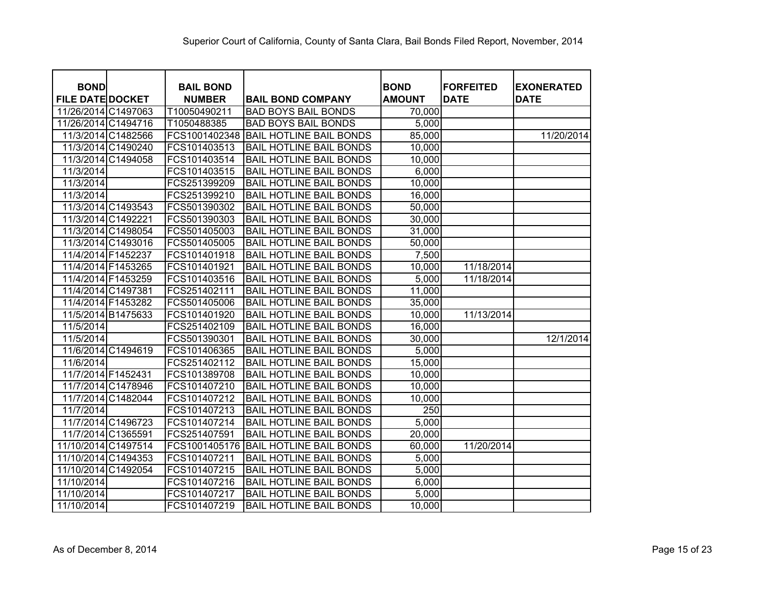| <b>BOND</b>             |                    | <b>BAIL BOND</b> |                                | <b>BOND</b>   | <b>FORFEITED</b> | <b>EXONERATED</b> |
|-------------------------|--------------------|------------------|--------------------------------|---------------|------------------|-------------------|
| <b>FILE DATE DOCKET</b> |                    | <b>NUMBER</b>    | <b>BAIL BOND COMPANY</b>       | <b>AMOUNT</b> | <b>DATE</b>      | <b>DATE</b>       |
| 11/26/2014 C1497063     |                    | T10050490211     | <b>BAD BOYS BAIL BONDS</b>     | 70,000        |                  |                   |
| 11/26/2014 C1494716     |                    | T1050488385      | <b>BAD BOYS BAIL BONDS</b>     | 5,000         |                  |                   |
|                         | 11/3/2014 C1482566 | FCS1001402348    | <b>BAIL HOTLINE BAIL BONDS</b> | 85,000        |                  | 11/20/2014        |
|                         | 11/3/2014 C1490240 | FCS101403513     | <b>BAIL HOTLINE BAIL BONDS</b> | 10,000        |                  |                   |
|                         | 11/3/2014 C1494058 | FCS101403514     | <b>BAIL HOTLINE BAIL BONDS</b> | 10,000        |                  |                   |
| 11/3/2014               |                    | FCS101403515     | <b>BAIL HOTLINE BAIL BONDS</b> | 6,000         |                  |                   |
| 11/3/2014               |                    | FCS251399209     | <b>BAIL HOTLINE BAIL BONDS</b> | 10,000        |                  |                   |
| 11/3/2014               |                    | FCS251399210     | <b>BAIL HOTLINE BAIL BONDS</b> | 16,000        |                  |                   |
|                         | 11/3/2014 C1493543 | FCS501390302     | <b>BAIL HOTLINE BAIL BONDS</b> | 50,000        |                  |                   |
|                         | 11/3/2014 C1492221 | FCS501390303     | <b>BAIL HOTLINE BAIL BONDS</b> | 30,000        |                  |                   |
|                         | 11/3/2014 C1498054 | FCS501405003     | <b>BAIL HOTLINE BAIL BONDS</b> | 31,000        |                  |                   |
|                         | 11/3/2014 C1493016 | FCS501405005     | <b>BAIL HOTLINE BAIL BONDS</b> | 50,000        |                  |                   |
|                         | 11/4/2014 F1452237 | FCS101401918     | <b>BAIL HOTLINE BAIL BONDS</b> | 7,500         |                  |                   |
|                         | 11/4/2014 F1453265 | FCS101401921     | <b>BAIL HOTLINE BAIL BONDS</b> | 10,000        | 11/18/2014       |                   |
|                         | 11/4/2014 F1453259 | FCS101403516     | <b>BAIL HOTLINE BAIL BONDS</b> | 5,000         | 11/18/2014       |                   |
|                         | 11/4/2014 C1497381 | FCS251402111     | <b>BAIL HOTLINE BAIL BONDS</b> | 11,000        |                  |                   |
|                         | 11/4/2014 F1453282 | FCS501405006     | <b>BAIL HOTLINE BAIL BONDS</b> | 35,000        |                  |                   |
|                         | 11/5/2014 B1475633 | FCS101401920     | <b>BAIL HOTLINE BAIL BONDS</b> | 10,000        | 11/13/2014       |                   |
| 11/5/2014               |                    | FCS251402109     | <b>BAIL HOTLINE BAIL BONDS</b> | 16,000        |                  |                   |
| 11/5/2014               |                    | FCS501390301     | <b>BAIL HOTLINE BAIL BONDS</b> | 30,000        |                  | 12/1/2014         |
|                         | 11/6/2014 C1494619 | FCS101406365     | <b>BAIL HOTLINE BAIL BONDS</b> | 5,000         |                  |                   |
| 11/6/2014               |                    | FCS251402112     | <b>BAIL HOTLINE BAIL BONDS</b> | 15,000        |                  |                   |
|                         | 11/7/2014 F1452431 | FCS101389708     | <b>BAIL HOTLINE BAIL BONDS</b> | 10,000        |                  |                   |
|                         | 11/7/2014 C1478946 | FCS101407210     | <b>BAIL HOTLINE BAIL BONDS</b> | 10,000        |                  |                   |
|                         | 11/7/2014 C1482044 | FCS101407212     | <b>BAIL HOTLINE BAIL BONDS</b> | 10,000        |                  |                   |
| 11/7/2014               |                    | FCS101407213     | <b>BAIL HOTLINE BAIL BONDS</b> | 250           |                  |                   |
|                         | 11/7/2014 C1496723 | FCS101407214     | <b>BAIL HOTLINE BAIL BONDS</b> | 5,000         |                  |                   |
| 11/7/2014 C1365591      |                    | FCS251407591     | <b>BAIL HOTLINE BAIL BONDS</b> | 20,000        |                  |                   |
| 11/10/2014 C1497514     |                    | FCS1001405176    | <b>BAIL HOTLINE BAIL BONDS</b> | 60,000        | 11/20/2014       |                   |
| 11/10/2014 C1494353     |                    | FCS101407211     | <b>BAIL HOTLINE BAIL BONDS</b> | 5,000         |                  |                   |
| 11/10/2014 C1492054     |                    | FCS101407215     | <b>BAIL HOTLINE BAIL BONDS</b> | 5,000         |                  |                   |
| 11/10/2014              |                    | FCS101407216     | <b>BAIL HOTLINE BAIL BONDS</b> | 6,000         |                  |                   |
| 11/10/2014              |                    | FCS101407217     | <b>BAIL HOTLINE BAIL BONDS</b> | 5,000         |                  |                   |
| 11/10/2014              |                    | FCS101407219     | <b>BAIL HOTLINE BAIL BONDS</b> | 10,000        |                  |                   |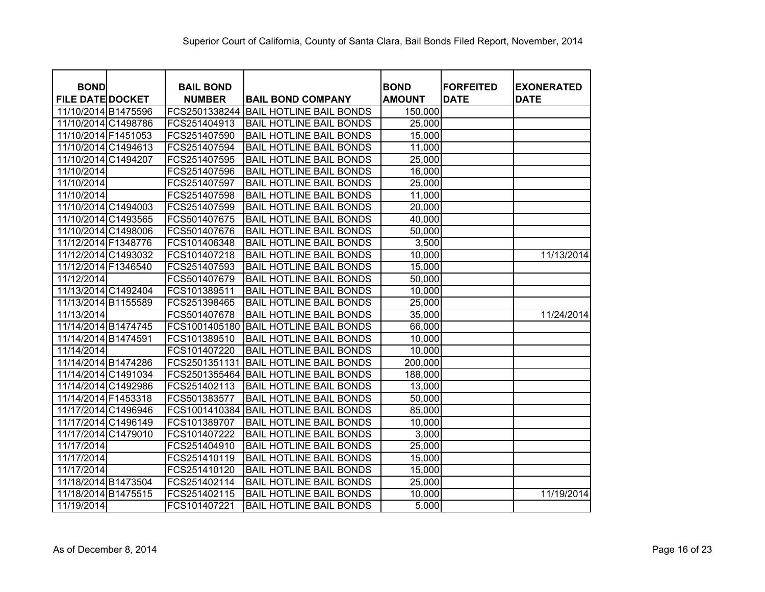| <b>BOND</b>             | <b>BAIL BOND</b> |                                | <b>BOND</b>   | <b>FORFEITED</b> | <b>EXONERATED</b> |
|-------------------------|------------------|--------------------------------|---------------|------------------|-------------------|
| <b>FILE DATE DOCKET</b> | <b>NUMBER</b>    | <b>BAIL BOND COMPANY</b>       | <b>AMOUNT</b> | <b>DATE</b>      | <b>DATE</b>       |
| 11/10/2014 B1475596     | FCS2501338244    | <b>BAIL HOTLINE BAIL BONDS</b> | 150,000       |                  |                   |
| 11/10/2014 C1498786     | FCS251404913     | <b>BAIL HOTLINE BAIL BONDS</b> | 25,000        |                  |                   |
| 11/10/2014 F1451053     | FCS251407590     | <b>BAIL HOTLINE BAIL BONDS</b> | 15,000        |                  |                   |
| 11/10/2014 C1494613     | FCS251407594     | <b>BAIL HOTLINE BAIL BONDS</b> | 11,000        |                  |                   |
| 11/10/2014 C1494207     | FCS251407595     | <b>BAIL HOTLINE BAIL BONDS</b> | 25,000        |                  |                   |
| 11/10/2014              | FCS251407596     | <b>BAIL HOTLINE BAIL BONDS</b> | 16,000        |                  |                   |
| 11/10/2014              | FCS251407597     | <b>BAIL HOTLINE BAIL BONDS</b> | 25,000        |                  |                   |
| 11/10/2014              | FCS251407598     | <b>BAIL HOTLINE BAIL BONDS</b> | 11,000        |                  |                   |
| 11/10/2014 C1494003     | FCS251407599     | <b>BAIL HOTLINE BAIL BONDS</b> | 20,000        |                  |                   |
| 11/10/2014 C1493565     | FCS501407675     | <b>BAIL HOTLINE BAIL BONDS</b> | 40,000        |                  |                   |
| 11/10/2014 C1498006     | FCS501407676     | <b>BAIL HOTLINE BAIL BONDS</b> | 50,000        |                  |                   |
| 11/12/2014 F1348776     | FCS101406348     | <b>BAIL HOTLINE BAIL BONDS</b> | 3,500         |                  |                   |
| 11/12/2014 C1493032     | FCS101407218     | <b>BAIL HOTLINE BAIL BONDS</b> | 10,000        |                  | 11/13/2014        |
| 11/12/2014 F1346540     | FCS251407593     | <b>BAIL HOTLINE BAIL BONDS</b> | 15,000        |                  |                   |
| 11/12/2014              | FCS501407679     | <b>BAIL HOTLINE BAIL BONDS</b> | 50,000        |                  |                   |
| 11/13/2014 C1492404     | FCS101389511     | <b>BAIL HOTLINE BAIL BONDS</b> | 10,000        |                  |                   |
| 11/13/2014 B1155589     | FCS251398465     | <b>BAIL HOTLINE BAIL BONDS</b> | 25,000        |                  |                   |
| 11/13/2014              | FCS501407678     | <b>BAIL HOTLINE BAIL BONDS</b> | 35,000        |                  | 11/24/2014        |
| 11/14/2014 B1474745     | FCS1001405180    | <b>BAIL HOTLINE BAIL BONDS</b> | 66,000        |                  |                   |
| 11/14/2014 B1474591     | FCS101389510     | <b>BAIL HOTLINE BAIL BONDS</b> | 10,000        |                  |                   |
| 11/14/2014              | FCS101407220     | <b>BAIL HOTLINE BAIL BONDS</b> | 10,000        |                  |                   |
| 11/14/2014 B1474286     | FCS2501351131    | <b>BAIL HOTLINE BAIL BONDS</b> | 200,000       |                  |                   |
| 11/14/2014 C1491034     | FCS2501355464    | <b>BAIL HOTLINE BAIL BONDS</b> | 188,000       |                  |                   |
| 11/14/2014 C1492986     | FCS251402113     | <b>BAIL HOTLINE BAIL BONDS</b> | 13,000        |                  |                   |
| 11/14/2014 F1453318     | FCS501383577     | <b>BAIL HOTLINE BAIL BONDS</b> | 50,000        |                  |                   |
| 11/17/2014 C1496946     | FCS1001410384    | <b>BAIL HOTLINE BAIL BONDS</b> | 85,000        |                  |                   |
| 11/17/2014 C1496149     | FCS101389707     | <b>BAIL HOTLINE BAIL BONDS</b> | 10,000        |                  |                   |
| 11/17/2014 C1479010     | FCS101407222     | <b>BAIL HOTLINE BAIL BONDS</b> | 3,000         |                  |                   |
| 11/17/2014              | FCS251404910     | <b>BAIL HOTLINE BAIL BONDS</b> | 25,000        |                  |                   |
| 11/17/2014              | FCS251410119     | <b>BAIL HOTLINE BAIL BONDS</b> | 15,000        |                  |                   |
| 11/17/2014              | FCS251410120     | <b>BAIL HOTLINE BAIL BONDS</b> | 15,000        |                  |                   |
| 11/18/2014 B1473504     | FCS251402114     | <b>BAIL HOTLINE BAIL BONDS</b> | 25,000        |                  |                   |
| 11/18/2014 B1475515     | FCS251402115     | <b>BAIL HOTLINE BAIL BONDS</b> | 10,000        |                  | 11/19/2014        |
| 11/19/2014              | FCS101407221     | <b>BAIL HOTLINE BAIL BONDS</b> | 5,000         |                  |                   |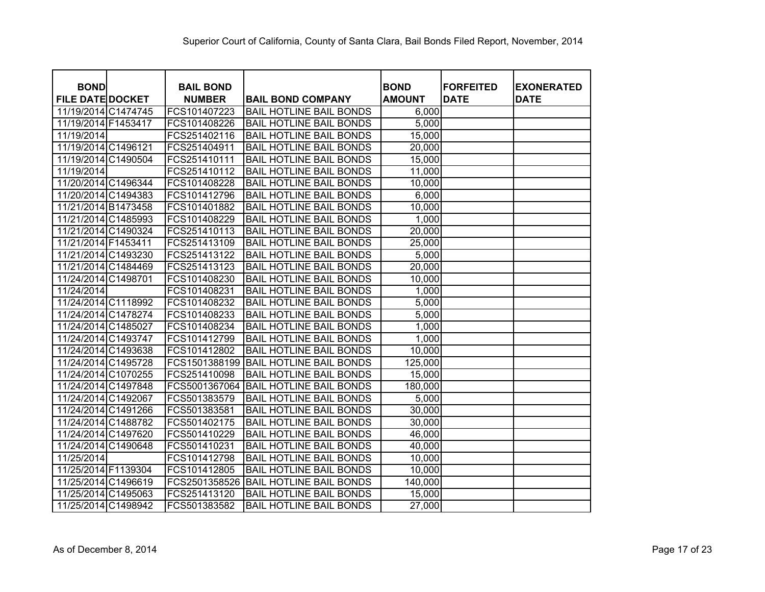| <b>BOND</b>             | <b>BAIL BOND</b> |                                | <b>BOND</b>   | <b>FORFEITED</b> | <b>EXONERATED</b> |
|-------------------------|------------------|--------------------------------|---------------|------------------|-------------------|
| <b>FILE DATE DOCKET</b> | <b>NUMBER</b>    | <b>BAIL BOND COMPANY</b>       | <b>AMOUNT</b> | <b>DATE</b>      | <b>DATE</b>       |
| 11/19/2014 C1474745     | FCS101407223     | <b>BAIL HOTLINE BAIL BONDS</b> | 6,000         |                  |                   |
| 11/19/2014 F1453417     | FCS101408226     | <b>BAIL HOTLINE BAIL BONDS</b> | 5,000         |                  |                   |
| 11/19/2014              | FCS251402116     | <b>BAIL HOTLINE BAIL BONDS</b> | 15,000        |                  |                   |
| 11/19/2014 C1496121     | FCS251404911     | <b>BAIL HOTLINE BAIL BONDS</b> | 20,000        |                  |                   |
| 11/19/2014 C1490504     | FCS251410111     | <b>BAIL HOTLINE BAIL BONDS</b> | 15,000        |                  |                   |
| 11/19/2014              | FCS251410112     | <b>BAIL HOTLINE BAIL BONDS</b> | 11,000        |                  |                   |
| 11/20/2014 C1496344     | FCS101408228     | <b>BAIL HOTLINE BAIL BONDS</b> | 10,000        |                  |                   |
| 11/20/2014 C1494383     | FCS101412796     | <b>BAIL HOTLINE BAIL BONDS</b> | 6,000         |                  |                   |
| 11/21/2014 B1473458     | FCS101401882     | <b>BAIL HOTLINE BAIL BONDS</b> | 10,000        |                  |                   |
| 11/21/2014 C1485993     | FCS101408229     | <b>BAIL HOTLINE BAIL BONDS</b> | 1,000         |                  |                   |
| 11/21/2014 C1490324     | FCS251410113     | <b>BAIL HOTLINE BAIL BONDS</b> | 20,000        |                  |                   |
| 11/21/2014 F1453411     | FCS251413109     | <b>BAIL HOTLINE BAIL BONDS</b> | 25,000        |                  |                   |
| 11/21/2014 C1493230     | FCS251413122     | <b>BAIL HOTLINE BAIL BONDS</b> | 5,000         |                  |                   |
| 11/21/2014 C1484469     | FCS251413123     | <b>BAIL HOTLINE BAIL BONDS</b> | 20,000        |                  |                   |
| 11/24/2014 C1498701     | FCS101408230     | <b>BAIL HOTLINE BAIL BONDS</b> | 10,000        |                  |                   |
| 11/24/2014              | FCS101408231     | <b>BAIL HOTLINE BAIL BONDS</b> | 1,000         |                  |                   |
| 11/24/2014 C1118992     | FCS101408232     | <b>BAIL HOTLINE BAIL BONDS</b> | 5,000         |                  |                   |
| 11/24/2014 C1478274     | FCS101408233     | <b>BAIL HOTLINE BAIL BONDS</b> | 5,000         |                  |                   |
| 11/24/2014 C1485027     | FCS101408234     | <b>BAIL HOTLINE BAIL BONDS</b> | 1,000         |                  |                   |
| 11/24/2014 C1493747     | FCS101412799     | <b>BAIL HOTLINE BAIL BONDS</b> | 1,000         |                  |                   |
| 11/24/2014 C1493638     | FCS101412802     | <b>BAIL HOTLINE BAIL BONDS</b> | 10,000        |                  |                   |
| 11/24/2014 C1495728     | FCS1501388199    | <b>BAIL HOTLINE BAIL BONDS</b> | 125,000       |                  |                   |
| 11/24/2014 C1070255     | FCS251410098     | <b>BAIL HOTLINE BAIL BONDS</b> | 15,000        |                  |                   |
| 11/24/2014 C1497848     | FCS5001367064    | <b>BAIL HOTLINE BAIL BONDS</b> | 180,000       |                  |                   |
| 11/24/2014 C1492067     | FCS501383579     | <b>BAIL HOTLINE BAIL BONDS</b> | 5,000         |                  |                   |
| 11/24/2014 C1491266     | FCS501383581     | <b>BAIL HOTLINE BAIL BONDS</b> | 30,000        |                  |                   |
| 11/24/2014 C1488782     | FCS501402175     | <b>BAIL HOTLINE BAIL BONDS</b> | 30,000        |                  |                   |
| 11/24/2014 C1497620     | FCS501410229     | <b>BAIL HOTLINE BAIL BONDS</b> | 46,000        |                  |                   |
| 11/24/2014 C1490648     | FCS501410231     | <b>BAIL HOTLINE BAIL BONDS</b> | 40,000        |                  |                   |
| 11/25/2014              | FCS101412798     | <b>BAIL HOTLINE BAIL BONDS</b> | 10,000        |                  |                   |
| 11/25/2014 F1139304     | FCS101412805     | <b>BAIL HOTLINE BAIL BONDS</b> | 10,000        |                  |                   |
| 11/25/2014 C1496619     | FCS2501358526    | <b>BAIL HOTLINE BAIL BONDS</b> | 140,000       |                  |                   |
| 11/25/2014 C1495063     | FCS251413120     | <b>BAIL HOTLINE BAIL BONDS</b> | 15,000        |                  |                   |
| 11/25/2014 C1498942     | FCS501383582     | <b>BAIL HOTLINE BAIL BONDS</b> | 27,000        |                  |                   |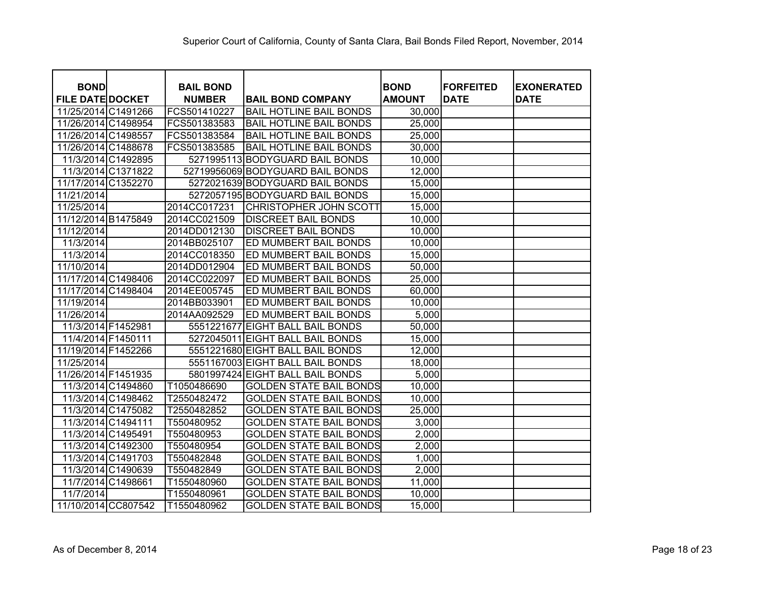| <b>BOND</b>             | <b>BAIL BOND</b> |                                  | <b>BOND</b>   | <b>FORFEITED</b> | <b>EXONERATED</b> |
|-------------------------|------------------|----------------------------------|---------------|------------------|-------------------|
| <b>FILE DATE DOCKET</b> | <b>NUMBER</b>    | <b>BAIL BOND COMPANY</b>         | <b>AMOUNT</b> | <b>DATE</b>      | <b>DATE</b>       |
| 11/25/2014 C1491266     | FCS501410227     | <b>BAIL HOTLINE BAIL BONDS</b>   | 30,000        |                  |                   |
| 11/26/2014 C1498954     | FCS501383583     | <b>BAIL HOTLINE BAIL BONDS</b>   | 25,000        |                  |                   |
| 11/26/2014 C1498557     | FCS501383584     | <b>BAIL HOTLINE BAIL BONDS</b>   | 25,000        |                  |                   |
| 11/26/2014 C1488678     | FCS501383585     | <b>BAIL HOTLINE BAIL BONDS</b>   | 30,000        |                  |                   |
| 11/3/2014 C1492895      |                  | 5271995113 BODYGUARD BAIL BONDS  | 10,000        |                  |                   |
| 11/3/2014 C1371822      |                  | 52719956069 BODYGUARD BAIL BONDS | 12,000        |                  |                   |
| 11/17/2014 C1352270     |                  | 5272021639 BODYGUARD BAIL BONDS  | 15,000        |                  |                   |
| 11/21/2014              |                  | 5272057195 BODYGUARD BAIL BONDS  | 15,000        |                  |                   |
| 11/25/2014              | 2014CC017231     | CHRISTOPHER JOHN SCOTT           | 15,000        |                  |                   |
| 11/12/2014 B1475849     | 2014CC021509     | <b>DISCREET BAIL BONDS</b>       | 10,000        |                  |                   |
| 11/12/2014              | 2014DD012130     | <b>DISCREET BAIL BONDS</b>       | 10,000        |                  |                   |
| 11/3/2014               | 2014BB025107     | ED MUMBERT BAIL BONDS            | 10,000        |                  |                   |
| 11/3/2014               | 2014CC018350     | ED MUMBERT BAIL BONDS            | 15,000        |                  |                   |
| 11/10/2014              | 2014DD012904     | ED MUMBERT BAIL BONDS            | 50,000        |                  |                   |
| 11/17/2014 C1498406     | 2014CC022097     | ED MUMBERT BAIL BONDS            | 25,000        |                  |                   |
| 11/17/2014 C1498404     | 2014EE005745     | ED MUMBERT BAIL BONDS            | 60,000        |                  |                   |
| 11/19/2014              | 2014BB033901     | ED MUMBERT BAIL BONDS            | 10,000        |                  |                   |
| 11/26/2014              | 2014AA092529     | ED MUMBERT BAIL BONDS            | 5,000         |                  |                   |
| 11/3/2014 F1452981      | 5551221677       | <b>EIGHT BALL BAIL BONDS</b>     | 50,000        |                  |                   |
| 11/4/2014 F1450111      |                  | 5272045011 EIGHT BALL BAIL BONDS | 15,000        |                  |                   |
| 11/19/2014 F1452266     |                  | 5551221680 EIGHT BALL BAIL BONDS | 12,000        |                  |                   |
| 11/25/2014              |                  | 5551167003 EIGHT BALL BAIL BONDS | 18,000        |                  |                   |
| 11/26/2014 F1451935     |                  | 5801997424 EIGHT BALL BAIL BONDS | 5,000         |                  |                   |
| 11/3/2014 C1494860      | T1050486690      | <b>GOLDEN STATE BAIL BONDS</b>   | 10,000        |                  |                   |
| 11/3/2014 C1498462      | T2550482472      | <b>GOLDEN STATE BAIL BONDS</b>   | 10,000        |                  |                   |
| 11/3/2014 C1475082      | T2550482852      | <b>GOLDEN STATE BAIL BONDS</b>   | 25,000        |                  |                   |
| 11/3/2014 C1494111      | T550480952       | <b>GOLDEN STATE BAIL BONDS</b>   | 3,000         |                  |                   |
| 11/3/2014 C1495491      | T550480953       | <b>GOLDEN STATE BAIL BONDS</b>   | 2,000         |                  |                   |
| 11/3/2014 C1492300      | T550480954       | <b>GOLDEN STATE BAIL BONDS</b>   | 2,000         |                  |                   |
| 11/3/2014 C1491703      | T550482848       | <b>GOLDEN STATE BAIL BONDS</b>   | 1,000         |                  |                   |
| 11/3/2014 C1490639      | T550482849       | <b>GOLDEN STATE BAIL BONDS</b>   | 2,000         |                  |                   |
| 11/7/2014 C1498661      | T1550480960      | <b>GOLDEN STATE BAIL BONDS</b>   | 11,000        |                  |                   |
| 11/7/2014               | T1550480961      | <b>GOLDEN STATE BAIL BONDS</b>   | 10,000        |                  |                   |
| 11/10/2014 CC807542     | T1550480962      | <b>GOLDEN STATE BAIL BONDS</b>   | 15,000        |                  |                   |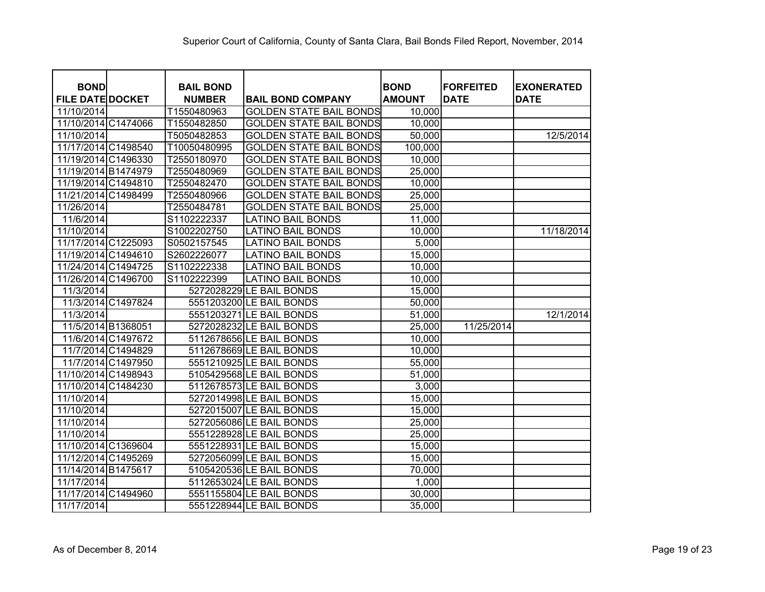| <b>BOND</b>             | <b>BAIL BOND</b> |                                | <b>BOND</b>   | <b>FORFEITED</b> | <b>EXONERATED</b> |
|-------------------------|------------------|--------------------------------|---------------|------------------|-------------------|
| <b>FILE DATE DOCKET</b> | <b>NUMBER</b>    | <b>BAIL BOND COMPANY</b>       | <b>AMOUNT</b> | <b>DATE</b>      | <b>DATE</b>       |
| 11/10/2014              | T1550480963      | <b>GOLDEN STATE BAIL BONDS</b> | 10,000        |                  |                   |
| 11/10/2014 C1474066     | T1550482850      | <b>GOLDEN STATE BAIL BONDS</b> | 10,000        |                  |                   |
| 11/10/2014              | T5050482853      | <b>GOLDEN STATE BAIL BONDS</b> | 50,000        |                  | 12/5/2014         |
| 11/17/2014 C1498540     | T10050480995     | <b>GOLDEN STATE BAIL BONDS</b> | 100,000       |                  |                   |
| 11/19/2014 C1496330     | T2550180970      | <b>GOLDEN STATE BAIL BONDS</b> | 10,000        |                  |                   |
| 11/19/2014 B1474979     | T2550480969      | <b>GOLDEN STATE BAIL BONDS</b> | 25,000        |                  |                   |
| 11/19/2014 C1494810     | T2550482470      | <b>GOLDEN STATE BAIL BONDS</b> | 10,000        |                  |                   |
| 11/21/2014 C1498499     | T2550480966      | <b>GOLDEN STATE BAIL BONDS</b> | 25,000        |                  |                   |
| 11/26/2014              | T2550484781      | <b>GOLDEN STATE BAIL BONDS</b> | 25,000        |                  |                   |
| 11/6/2014               | S1102222337      | <b>LATINO BAIL BONDS</b>       | 11,000        |                  |                   |
| 11/10/2014              | S1002202750      | <b>LATINO BAIL BONDS</b>       | 10,000        |                  | 11/18/2014        |
| 11/17/2014 C1225093     | S0502157545      | <b>LATINO BAIL BONDS</b>       | 5,000         |                  |                   |
| 11/19/2014 C1494610     | S2602226077      | <b>LATINO BAIL BONDS</b>       | 15,000        |                  |                   |
| 11/24/2014 C1494725     | S1102222338      | <b>LATINO BAIL BONDS</b>       | 10,000        |                  |                   |
| 11/26/2014 C1496700     | S1102222399      | <b>LATINO BAIL BONDS</b>       | 10,000        |                  |                   |
| 11/3/2014               |                  | 5272028229 LE BAIL BONDS       | 15,000        |                  |                   |
| 11/3/2014 C1497824      |                  | 5551203200 LE BAIL BONDS       | 50,000        |                  |                   |
| 11/3/2014               |                  | 5551203271 LE BAIL BONDS       | 51,000        |                  | 12/1/2014         |
| 11/5/2014 B1368051      |                  | 5272028232 LE BAIL BONDS       | 25,000        | 11/25/2014       |                   |
| 11/6/2014 C1497672      |                  | 5112678656 LE BAIL BONDS       | 10,000        |                  |                   |
| 11/7/2014 C1494829      |                  | 5112678669 LE BAIL BONDS       | 10,000        |                  |                   |
| 11/7/2014 C1497950      |                  | 5551210925 LE BAIL BONDS       | 55,000        |                  |                   |
| 11/10/2014 C1498943     |                  | 5105429568 LE BAIL BONDS       | 51,000        |                  |                   |
| 11/10/2014 C1484230     |                  | 5112678573 LE BAIL BONDS       | 3,000         |                  |                   |
| 11/10/2014              |                  | 5272014998 LE BAIL BONDS       | 15,000        |                  |                   |
| 11/10/2014              |                  | 5272015007 LE BAIL BONDS       | 15,000        |                  |                   |
| 11/10/2014              |                  | 5272056086 LE BAIL BONDS       | 25,000        |                  |                   |
| 11/10/2014              |                  | 5551228928 LE BAIL BONDS       | 25,000        |                  |                   |
| 11/10/2014 C1369604     |                  | 5551228931 LE BAIL BONDS       | 15,000        |                  |                   |
| 11/12/2014 C1495269     |                  | 5272056099 LE BAIL BONDS       | 15,000        |                  |                   |
| 11/14/2014 B1475617     |                  | 5105420536 LE BAIL BONDS       | 70,000        |                  |                   |
| 11/17/2014              |                  | 5112653024 LE BAIL BONDS       | 1,000         |                  |                   |
| 11/17/2014 C1494960     |                  | 5551155804 LE BAIL BONDS       | 30,000        |                  |                   |
| 11/17/2014              |                  | 5551228944 LE BAIL BONDS       | 35,000        |                  |                   |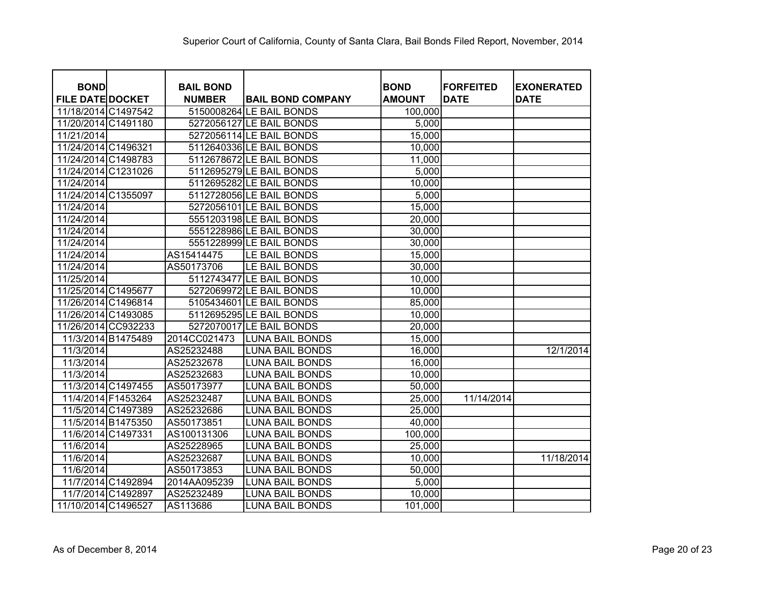| <b>BOND</b>             | <b>BAIL BOND</b> |                          | <b>BOND</b>   | <b>FORFEITED</b> | <b>EXONERATED</b> |
|-------------------------|------------------|--------------------------|---------------|------------------|-------------------|
| <b>FILE DATE DOCKET</b> | <b>NUMBER</b>    | <b>BAIL BOND COMPANY</b> | <b>AMOUNT</b> | <b>DATE</b>      | <b>DATE</b>       |
| 11/18/2014 C1497542     |                  | 5150008264 LE BAIL BONDS | 100,000       |                  |                   |
| 11/20/2014 C1491180     |                  | 5272056127 LE BAIL BONDS | 5,000         |                  |                   |
| 11/21/2014              |                  | 5272056114 LE BAIL BONDS | 15,000        |                  |                   |
| 11/24/2014 C1496321     |                  | 5112640336 LE BAIL BONDS | 10,000        |                  |                   |
| 11/24/2014 C1498783     |                  | 5112678672 LE BAIL BONDS | 11,000        |                  |                   |
| 11/24/2014 C1231026     |                  | 5112695279 LE BAIL BONDS | 5,000         |                  |                   |
| 11/24/2014              |                  | 5112695282 LE BAIL BONDS | 10,000        |                  |                   |
| 11/24/2014 C1355097     |                  | 5112728056 LE BAIL BONDS | 5,000         |                  |                   |
| 11/24/2014              |                  | 5272056101 LE BAIL BONDS | 15,000        |                  |                   |
| 11/24/2014              |                  | 5551203198 LE BAIL BONDS | 20,000        |                  |                   |
| 11/24/2014              |                  | 5551228986 LE BAIL BONDS | 30,000        |                  |                   |
| 11/24/2014              |                  | 5551228999 LE BAIL BONDS | 30,000        |                  |                   |
| 11/24/2014              | AS15414475       | LE BAIL BONDS            | 15,000        |                  |                   |
| 11/24/2014              | AS50173706       | LE BAIL BONDS            | 30,000        |                  |                   |
| 11/25/2014              |                  | 5112743477 LE BAIL BONDS | 10,000        |                  |                   |
| 11/25/2014 C1495677     |                  | 5272069972 LE BAIL BONDS | 10,000        |                  |                   |
| 11/26/2014 C1496814     |                  | 5105434601 LE BAIL BONDS | 85,000        |                  |                   |
| 11/26/2014 C1493085     |                  | 5112695295 LE BAIL BONDS | 10,000        |                  |                   |
| 11/26/2014 CC932233     |                  | 5272070017 LE BAIL BONDS | 20,000        |                  |                   |
| 11/3/2014 B1475489      | 2014CC021473     | <b>LUNA BAIL BONDS</b>   | 15,000        |                  |                   |
| 11/3/2014               | AS25232488       | <b>LUNA BAIL BONDS</b>   | 16,000        |                  | 12/1/2014         |
| 11/3/2014               | AS25232678       | <b>LUNA BAIL BONDS</b>   | 16,000        |                  |                   |
| 11/3/2014               | AS25232683       | <b>LUNA BAIL BONDS</b>   | 10,000        |                  |                   |
| 11/3/2014 C1497455      | AS50173977       | <b>LUNA BAIL BONDS</b>   | 50,000        |                  |                   |
| 11/4/2014 F1453264      | AS25232487       | <b>LUNA BAIL BONDS</b>   | 25,000        | 11/14/2014       |                   |
| 11/5/2014 C1497389      | AS25232686       | LUNA BAIL BONDS          | 25,000        |                  |                   |
| 11/5/2014 B1475350      | AS50173851       | <b>LUNA BAIL BONDS</b>   | 40,000        |                  |                   |
| 11/6/2014 C1497331      | AS100131306      | <b>LUNA BAIL BONDS</b>   | 100,000       |                  |                   |
| 11/6/2014               | AS25228965       | <b>LUNA BAIL BONDS</b>   | 25,000        |                  |                   |
| 11/6/2014               | AS25232687       | <b>LUNA BAIL BONDS</b>   | 10,000        |                  | 11/18/2014        |
| 11/6/2014               | AS50173853       | <b>LUNA BAIL BONDS</b>   | 50,000        |                  |                   |
| 11/7/2014 C1492894      | 2014AA095239     | <b>LUNA BAIL BONDS</b>   | 5,000         |                  |                   |
| 11/7/2014 C1492897      | AS25232489       | <b>LUNA BAIL BONDS</b>   | 10,000        |                  |                   |
| 11/10/2014 C1496527     | AS113686         | <b>LUNA BAIL BONDS</b>   | 101,000       |                  |                   |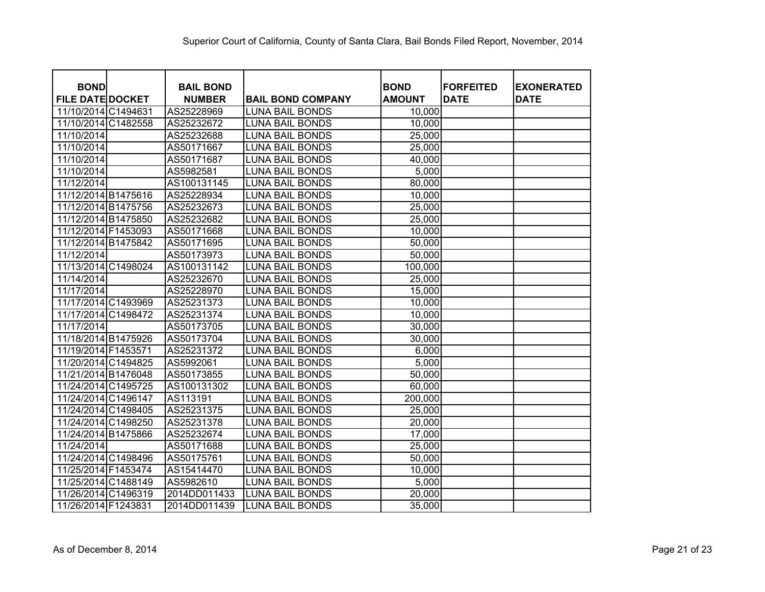| <b>BOND</b>             | <b>BAIL BOND</b> |                          | <b>BOND</b>   | <b>FORFEITED</b> | <b>EXONERATED</b> |
|-------------------------|------------------|--------------------------|---------------|------------------|-------------------|
| <b>FILE DATE DOCKET</b> | <b>NUMBER</b>    | <b>BAIL BOND COMPANY</b> | <b>AMOUNT</b> | <b>DATE</b>      | <b>DATE</b>       |
| 11/10/2014 C1494631     | AS25228969       | <b>LUNA BAIL BONDS</b>   | 10,000        |                  |                   |
| 11/10/2014 C1482558     | AS25232672       | <b>LUNA BAIL BONDS</b>   | 10,000        |                  |                   |
| 11/10/2014              | AS25232688       | <b>LUNA BAIL BONDS</b>   | 25,000        |                  |                   |
| 11/10/2014              | AS50171667       | <b>LUNA BAIL BONDS</b>   | 25,000        |                  |                   |
| 11/10/2014              | AS50171687       | <b>LUNA BAIL BONDS</b>   | 40,000        |                  |                   |
| 11/10/2014              | AS5982581        | <b>LUNA BAIL BONDS</b>   | 5,000         |                  |                   |
| 11/12/2014              | AS100131145      | <b>LUNA BAIL BONDS</b>   | 80,000        |                  |                   |
| 11/12/2014 B1475616     | AS25228934       | <b>LUNA BAIL BONDS</b>   | 10,000        |                  |                   |
| 11/12/2014 B1475756     | AS25232673       | <b>LUNA BAIL BONDS</b>   | 25,000        |                  |                   |
| 11/12/2014 B1475850     | AS25232682       | <b>LUNA BAIL BONDS</b>   | 25,000        |                  |                   |
| 11/12/2014 F1453093     | AS50171668       | <b>LUNA BAIL BONDS</b>   | 10,000        |                  |                   |
| 11/12/2014 B1475842     | AS50171695       | <b>LUNA BAIL BONDS</b>   | 50,000        |                  |                   |
| 11/12/2014              | AS50173973       | <b>LUNA BAIL BONDS</b>   | 50,000        |                  |                   |
| 11/13/2014 C1498024     | AS100131142      | <b>LUNA BAIL BONDS</b>   | 100,000       |                  |                   |
| 11/14/2014              | AS25232670       | <b>LUNA BAIL BONDS</b>   | 25,000        |                  |                   |
| 11/17/2014              | AS25228970       | <b>LUNA BAIL BONDS</b>   | 15,000        |                  |                   |
| 11/17/2014 C1493969     | AS25231373       | <b>LUNA BAIL BONDS</b>   | 10,000        |                  |                   |
| 11/17/2014 C1498472     | AS25231374       | <b>LUNA BAIL BONDS</b>   | 10,000        |                  |                   |
| 11/17/2014              | AS50173705       | <b>LUNA BAIL BONDS</b>   | 30,000        |                  |                   |
| 11/18/2014 B1475926     | AS50173704       | <b>LUNA BAIL BONDS</b>   | 30,000        |                  |                   |
| 11/19/2014 F1453571     | AS25231372       | <b>LUNA BAIL BONDS</b>   | 6,000         |                  |                   |
| 11/20/2014 C1494825     | AS5992061        | <b>LUNA BAIL BONDS</b>   | 5,000         |                  |                   |
| 11/21/2014 B1476048     | AS50173855       | <b>LUNA BAIL BONDS</b>   | 50,000        |                  |                   |
| 11/24/2014 C1495725     | AS100131302      | <b>LUNA BAIL BONDS</b>   | 60,000        |                  |                   |
| 11/24/2014 C1496147     | AS113191         | <b>LUNA BAIL BONDS</b>   | 200,000       |                  |                   |
| 11/24/2014 C1498405     | AS25231375       | <b>LUNA BAIL BONDS</b>   | 25,000        |                  |                   |
| 11/24/2014 C1498250     | AS25231378       | <b>LUNA BAIL BONDS</b>   | 20,000        |                  |                   |
| 11/24/2014 B1475866     | AS25232674       | <b>LUNA BAIL BONDS</b>   | 17,000        |                  |                   |
| 11/24/2014              | AS50171688       | <b>LUNA BAIL BONDS</b>   | 25,000        |                  |                   |
| 11/24/2014 C1498496     | AS50175761       | <b>LUNA BAIL BONDS</b>   | 50,000        |                  |                   |
| 11/25/2014 F1453474     | AS15414470       | <b>LUNA BAIL BONDS</b>   | 10,000        |                  |                   |
| 11/25/2014 C1488149     | AS5982610        | <b>LUNA BAIL BONDS</b>   | 5,000         |                  |                   |
| 11/26/2014 C1496319     | 2014DD011433     | <b>LUNA BAIL BONDS</b>   | 20,000        |                  |                   |
| 11/26/2014 F1243831     | 2014DD011439     | <b>LUNA BAIL BONDS</b>   | 35,000        |                  |                   |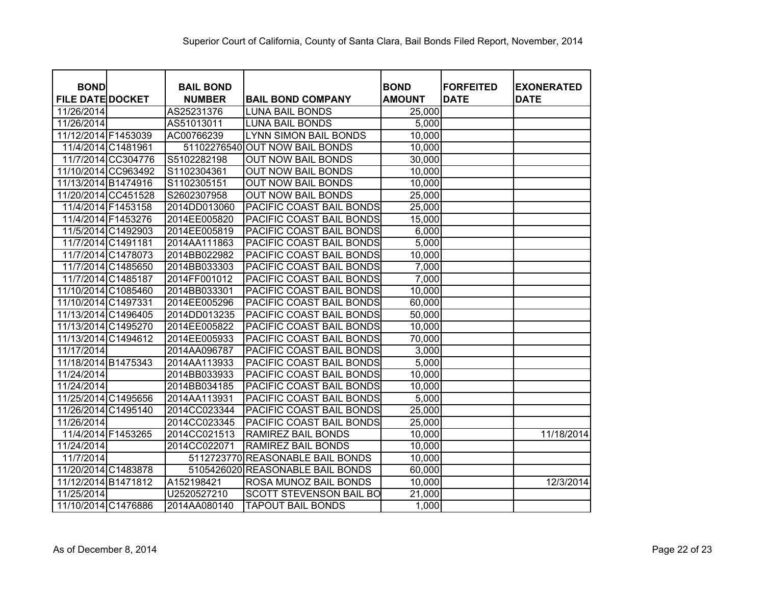| <b>BOND</b>             | <b>BAIL BOND</b> |                                  | <b>BOND</b>   | <b>FORFEITED</b> | <b>EXONERATED</b> |
|-------------------------|------------------|----------------------------------|---------------|------------------|-------------------|
| <b>FILE DATE DOCKET</b> | <b>NUMBER</b>    | <b>BAIL BOND COMPANY</b>         | <b>AMOUNT</b> | <b>DATE</b>      | <b>DATE</b>       |
| 11/26/2014              | AS25231376       | <b>LUNA BAIL BONDS</b>           | 25,000        |                  |                   |
| 11/26/2014              | AS51013011       | <b>LUNA BAIL BONDS</b>           | 5,000         |                  |                   |
| 11/12/2014 F1453039     | AC00766239       | LYNN SIMON BAIL BONDS            | 10,000        |                  |                   |
| 11/4/2014 C1481961      |                  | 51102276540 OUT NOW BAIL BONDS   | 10,000        |                  |                   |
| 11/7/2014 CC304776      | S5102282198      | <b>OUT NOW BAIL BONDS</b>        | 30,000        |                  |                   |
| 11/10/2014 CC963492     | S1102304361      | <b>OUT NOW BAIL BONDS</b>        | 10,000        |                  |                   |
| 11/13/2014 B1474916     | S1102305151      | <b>OUT NOW BAIL BONDS</b>        | 10,000        |                  |                   |
| 11/20/2014 CC451528     | S2602307958      | <b>OUT NOW BAIL BONDS</b>        | 25,000        |                  |                   |
| 11/4/2014 F1453158      | 2014DD013060     | PACIFIC COAST BAIL BONDS         | 25,000        |                  |                   |
| 11/4/2014 F1453276      | 2014EE005820     | PACIFIC COAST BAIL BONDS         | 15,000        |                  |                   |
| 11/5/2014 C1492903      | 2014EE005819     | PACIFIC COAST BAIL BONDS         | 6,000         |                  |                   |
| 11/7/2014 C1491181      | 2014AA111863     | PACIFIC COAST BAIL BONDS         | 5,000         |                  |                   |
| 11/7/2014 C1478073      | 2014BB022982     | PACIFIC COAST BAIL BONDS         | 10,000        |                  |                   |
| 11/7/2014 C1485650      | 2014BB033303     | PACIFIC COAST BAIL BONDS         | 7,000         |                  |                   |
| 11/7/2014 C1485187      | 2014FF001012     | PACIFIC COAST BAIL BONDS         | 7,000         |                  |                   |
| 11/10/2014 C1085460     | 2014BB033301     | PACIFIC COAST BAIL BONDS         | 10,000        |                  |                   |
| 11/10/2014 C1497331     | 2014EE005296     | PACIFIC COAST BAIL BONDS         | 60,000        |                  |                   |
| 11/13/2014 C1496405     | 2014DD013235     | PACIFIC COAST BAIL BONDS         | 50,000        |                  |                   |
| 11/13/2014 C1495270     | 2014EE005822     | PACIFIC COAST BAIL BONDS         | 10,000        |                  |                   |
| 11/13/2014 C1494612     | 2014EE005933     | PACIFIC COAST BAIL BONDS         | 70,000        |                  |                   |
| 11/17/2014              | 2014AA096787     | PACIFIC COAST BAIL BONDS         | 3,000         |                  |                   |
| 11/18/2014 B1475343     | 2014AA113933     | PACIFIC COAST BAIL BONDS         | 5,000         |                  |                   |
| 11/24/2014              | 2014BB033933     | PACIFIC COAST BAIL BONDS         | 10,000        |                  |                   |
| 11/24/2014              | 2014BB034185     | PACIFIC COAST BAIL BONDS         | 10,000        |                  |                   |
| 11/25/2014 C1495656     | 2014AA113931     | PACIFIC COAST BAIL BONDS         | 5,000         |                  |                   |
| 11/26/2014 C1495140     | 2014CC023344     | PACIFIC COAST BAIL BONDS         | 25,000        |                  |                   |
| 11/26/2014              | 2014CC023345     | PACIFIC COAST BAIL BONDS         | 25,000        |                  |                   |
| 11/4/2014 F1453265      | 2014CC021513     | <b>RAMIREZ BAIL BONDS</b>        | 10,000        |                  | 11/18/2014        |
| 11/24/2014              | 2014CC022071     | <b>RAMIREZ BAIL BONDS</b>        | 10,000        |                  |                   |
| 11/7/2014               |                  | 5112723770 REASONABLE BAIL BONDS | 10,000        |                  |                   |
| 11/20/2014 C1483878     | 5105426020       | <b>REASONABLE BAIL BONDS</b>     | 60,000        |                  |                   |
| 11/12/2014 B1471812     | A152198421       | ROSA MUNOZ BAIL BONDS            | 10,000        |                  | 12/3/2014         |
| 11/25/2014              | U2520527210      | <b>SCOTT STEVENSON BAIL BO</b>   | 21,000        |                  |                   |
| 11/10/2014 C1476886     | 2014AA080140     | <b>TAPOUT BAIL BONDS</b>         | 1,000         |                  |                   |